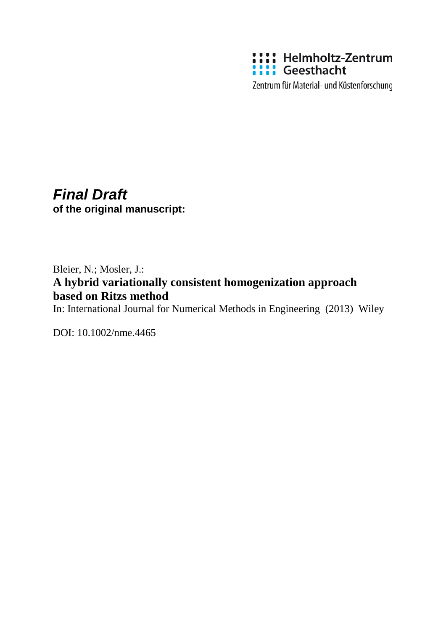

Zentrum für Material- und Küstenforschung

# *Final Draft* **of the original manuscript:**

# Bleier, N.; Mosler, J.: **A hybrid variationally consistent homogenization approach based on Ritzs method**

In: International Journal for Numerical Methods in Engineering (2013) Wiley

DOI: 10.1002/nme.4465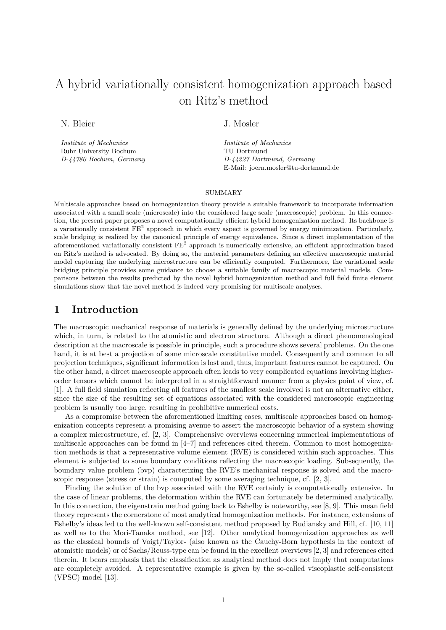# A hybrid variationally consistent homogenization approach based on Ritz's method

N. Bleier

*Institute of Mechanics* Ruhr University Bochum *D-44780 Bochum, Germany* J. Mosler

*Institute of Mechanics* TU Dortmund *D-44227 Dortmund, Germany* E-Mail: joern.mosler@tu-dortmund.de

#### SUMMARY

Multiscale approaches based on homogenization theory provide a suitable framework to incorporate information associated with a small scale (microscale) into the considered large scale (macroscopic) problem. In this connection, the present paper proposes a novel computationally efficient hybrid homogenization method. Its backbone is a variationally consistent  $FE<sup>2</sup>$  approach in which every aspect is governed by energy minimization. Particularly, scale bridging is realized by the canonical principle of energy equivalence. Since a direct implementation of the aforementioned variationally consistent  $FE<sup>2</sup>$  approach is numerically extensive, an efficient approximation based on Ritz's method is advocated. By doing so, the material parameters defining an effective macroscopic material model capturing the underlying microstructure can be efficiently computed. Furthermore, the variational scale bridging principle provides some guidance to choose a suitable family of macroscopic material models. Comparisons between the results predicted by the novel hybrid homogenization method and full field finite element simulations show that the novel method is indeed very promising for multiscale analyses.

## **1 Introduction**

The macroscopic mechanical response of materials is generally defined by the underlying microstructure which, in turn, is related to the atomistic and electron structure. Although a direct phenomenological description at the macroscale is possible in principle, such a procedure shows several problems. On the one hand, it is at best a projection of some microscale constitutive model. Consequently and common to all projection techniques, significant information is lost and, thus, important features cannot be captured. On the other hand, a direct macroscopic approach often leads to very complicated equations involving higherorder tensors which cannot be interpreted in a straightforward manner from a physics point of view, cf. [1]. A full field simulation reflecting all features of the smallest scale involved is not an alternative either, since the size of the resulting set of equations associated with the considered macroscopic engineering problem is usually too large, resulting in prohibitive numerical costs.

As a compromise between the aforementioned limiting cases, multiscale approaches based on homogenization concepts represent a promising avenue to assert the macroscopic behavior of a system showing a complex microstructure, cf. [2, 3]. Comprehensive overviews concerning numerical implementations of multiscale approaches can be found in [4–7] and references cited therein. Common to most homogenization methods is that a representative volume element (RVE) is considered within such approaches. This element is subjected to some boundary conditions reflecting the macroscopic loading. Subsequently, the boundary value problem (bvp) characterizing the RVE's mechanical response is solved and the macroscopic response (stress or strain) is computed by some averaging technique, cf. [2, 3].

Finding the solution of the bvp associated with the RVE certainly is computationally extensive. In the case of linear problems, the deformation within the RVE can fortunately be determined analytically. In this connection, the eigenstrain method going back to Eshelby is noteworthy, see [8, 9]. This mean field theory represents the cornerstone of most analytical homogenization methods. For instance, extensions of Eshelby's ideas led to the well-known self-consistent method proposed by Budiansky and Hill, cf. [10, 11] as well as to the Mori-Tanaka method, see [12]. Other analytical homogenization approaches as well as the classical bounds of Voigt/Taylor- (also known as the Cauchy-Born hypothesis in the context of atomistic models) or of Sachs/Reuss-type can be found in the excellent overviews [2, 3] and references cited therein. It bears emphasis that the classification as analytical method does not imply that computations are completely avoided. A representative example is given by the so-called viscoplastic self-consistent (VPSC) model [13].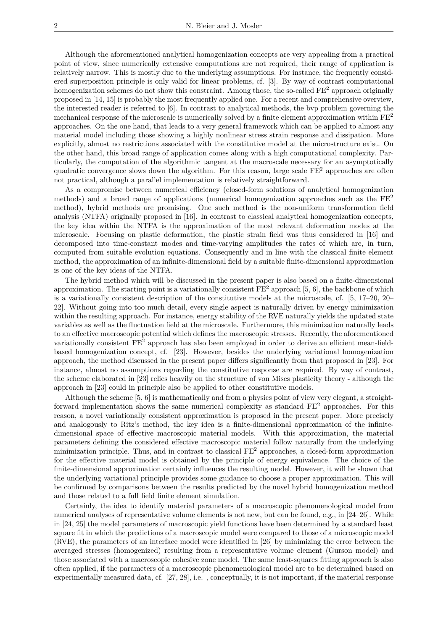Although the aforementioned analytical homogenization concepts are very appealing from a practical point of view, since numerically extensive computations are not required, their range of application is relatively narrow. This is mostly due to the underlying assumptions. For instance, the frequently considered superposition principle is only valid for linear problems, cf. [3]. By way of contrast computational homogenization schemes do not show this constraint. Among those, the so-called  $FE<sup>2</sup>$  approach originally proposed in [14, 15] is probably the most frequently applied one. For a recent and comprehensive overview, the interested reader is referred to [6]. In contrast to analytical methods, the bvp problem governing the mechanical response of the microscale is numerically solved by a finite element approximation within  $FE<sup>2</sup>$ approaches. On the one hand, that leads to a very general framework which can be applied to almost any material model including those showing a highly nonlinear stress strain response and dissipation. More explicitly, almost no restrictions associated with the constitutive model at the microstructure exist. On the other hand, this broad range of application comes along with a high computational complexity. Particularly, the computation of the algorithmic tangent at the macroscale necessary for an asymptotically quadratic convergence slows down the algorithm. For this reason, large scale FE<sup>2</sup> approaches are often not practical, although a parallel implementation is relatively straightforward.

As a compromise between numerical efficiency (closed-form solutions of analytical homogenization methods) and a broad range of applications (numerical homogenization approaches such as the  $FE<sup>2</sup>$ method), hybrid methods are promising. One such method is the non-uniform transformation field analysis (NTFA) originally proposed in [16]. In contrast to classical analytical homogenization concepts, the key idea within the NTFA is the approximation of the most relevant deformation modes at the microscale. Focusing on plastic deformation, the plastic strain field was thus considered in [16] and decomposed into time-constant modes and time-varying amplitudes the rates of which are, in turn, computed from suitable evolution equations. Consequently and in line with the classical finite element method, the approximation of an infinite-dimensional field by a suitable finite-dimensional approximation is one of the key ideas of the NTFA.

The hybrid method which will be discussed in the present paper is also based on a finite-dimensional approximation. The starting point is a variationally consistent  $FE<sup>2</sup>$  approach [5, 6], the backbone of which is a variationally consistent description of the constitutive models at the microscale, cf. [5, 17–20, 20– 22]. Without going into too much detail, every single aspect is naturally driven by energy minimization within the resulting approach. For instance, energy stability of the RVE naturally yields the updated state variables as well as the fluctuation field at the microscale. Furthermore, this minimization naturally leads to an effective macroscopic potential which defines the macroscopic stresses. Recently, the aforementioned variationally consistent FE<sup>2</sup> approach has also been employed in order to derive an efficient mean-fieldbased homogenization concept, cf. [23]. However, besides the underlying variational homogenization approach, the method discussed in the present paper differs significantly from that proposed in [23]. For instance, almost no assumptions regarding the constitutive response are required. By way of contrast, the scheme elaborated in [23] relies heavily on the structure of von Mises plasticity theory - although the approach in [23] could in principle also be applied to other constitutive models.

Although the scheme [5, 6] is mathematically and from a physics point of view very elegant, a straightforward implementation shows the same numerical complexity as standard  $FE^2$  approaches. For this reason, a novel variationally consistent approximation is proposed in the present paper. More precisely and analogously to Ritz's method, the key idea is a finite-dimensional approximation of the infinitedimensional space of effective macroscopic material models. With this approximation, the material parameters defining the considered effective macroscopic material follow naturally from the underlying minimization principle. Thus, and in contrast to classical  $FE<sup>2</sup>$  approaches, a closed-form approximation for the effective material model is obtained by the principle of energy equivalence. The choice of the finite-dimensional approximation certainly influences the resulting model. However, it will be shown that the underlying variational principle provides some guidance to choose a proper approximation. This will be confirmed by comparisons between the results predicted by the novel hybrid homogenization method and those related to a full field finite element simulation.

Certainly, the idea to identify material parameters of a macroscopic phenomenological model from numerical analyses of representative volume elements is not new, but can be found, e.g., in [24–26]. While in [24, 25] the model parameters of macroscopic yield functions have been determined by a standard least square fit in which the predictions of a macroscopic model were compared to those of a microscopic model (RVE), the parameters of an interface model were identified in [26] by minimizing the error between the averaged stresses (homogenized) resulting from a representative volume element (Gurson model) and those associated with a macroscopic cohesive zone model. The same least-squares fitting approach is also often applied, if the parameters of a macroscopic phenomenological model are to be determined based on experimentally measured data, cf. [27, 28], i.e. , conceptually, it is not important, if the material response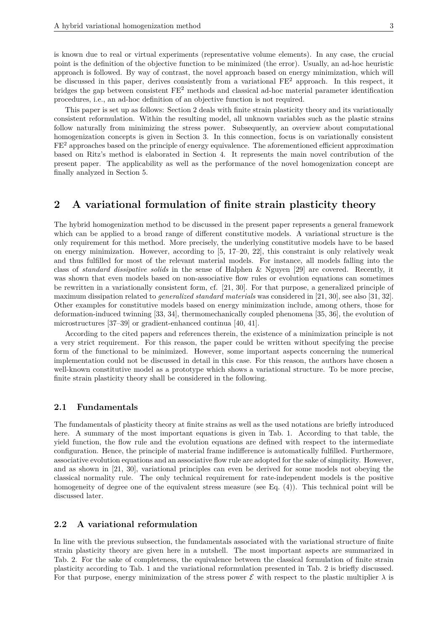is known due to real or virtual experiments (representative volume elements). In any case, the crucial point is the definition of the objective function to be minimized (the error). Usually, an ad-hoc heuristic approach is followed. By way of contrast, the novel approach based on energy minimization, which will be discussed in this paper, derives consistently from a variational FE<sup>2</sup> approach. In this respect, it bridges the gap between consistent FE<sup>2</sup> methods and classical ad-hoc material parameter identification procedures, i.e., an ad-hoc definition of an objective function is not required.

This paper is set up as follows: Section 2 deals with finite strain plasticity theory and its variationally consistent reformulation. Within the resulting model, all unknown variables such as the plastic strains follow naturally from minimizing the stress power. Subsequently, an overview about computational homogenization concepts is given in Section 3. In this connection, focus is on variationally consistent  $FE<sup>2</sup>$  approaches based on the principle of energy equivalence. The aforementioned efficient approximation based on Ritz's method is elaborated in Section 4. It represents the main novel contribution of the present paper. The applicability as well as the performance of the novel homogenization concept are finally analyzed in Section 5.

## **2 A variational formulation of finite strain plasticity theory**

The hybrid homogenization method to be discussed in the present paper represents a general framework which can be applied to a broad range of different constitutive models. A variational structure is the only requirement for this method. More precisely, the underlying constitutive models have to be based on energy minimization. However, according to  $[5, 17–20, 22]$ , this constraint is only relatively weak and thus fulfilled for most of the relevant material models. For instance, all models falling into the class of *standard dissipative solids* in the sense of Halphen & Nguyen [29] are covered. Recently, it was shown that even models based on non-associative flow rules or evolution equations can sometimes be rewritten in a variationally consistent form, cf. [21, 30]. For that purpose, a generalized principle of maximum dissipation related to *generalized standard materials* was considered in [21, 30], see also [31, 32]. Other examples for constitutive models based on energy minimization include, among others, those for deformation-induced twinning [33, 34], thermomechanically coupled phenomena [35, 36], the evolution of microstructures [37–39] or gradient-enhanced continua [40, 41].

According to the cited papers and references therein, the existence of a minimization principle is not a very strict requirement. For this reason, the paper could be written without specifying the precise form of the functional to be minimized. However, some important aspects concerning the numerical implementation could not be discussed in detail in this case. For this reason, the authors have chosen a well-known constitutive model as a prototype which shows a variational structure. To be more precise, finite strain plasticity theory shall be considered in the following.

#### **2.1 Fundamentals**

The fundamentals of plasticity theory at finite strains as well as the used notations are briefly introduced here. A summary of the most important equations is given in Tab. 1. According to that table, the yield function, the flow rule and the evolution equations are defined with respect to the intermediate configuration. Hence, the principle of material frame indifference is automatically fulfilled. Furthermore, associative evolution equations and an associative flow rule are adopted for the sake of simplicity. However, and as shown in [21, 30], variational principles can even be derived for some models not obeying the classical normality rule. The only technical requirement for rate-independent models is the positive homogeneity of degree one of the equivalent stress measure (see Eq. (4)). This technical point will be discussed later.

#### **2.2 A variational reformulation**

In line with the previous subsection, the fundamentals associated with the variational structure of finite strain plasticity theory are given here in a nutshell. The most important aspects are summarized in Tab. 2. For the sake of completeness, the equivalence between the classical formulation of finite strain plasticity according to Tab. 1 and the variational reformulation presented in Tab. 2 is briefly discussed. For that purpose, energy minimization of the stress power  $\mathcal E$  with respect to the plastic multiplier  $\lambda$  is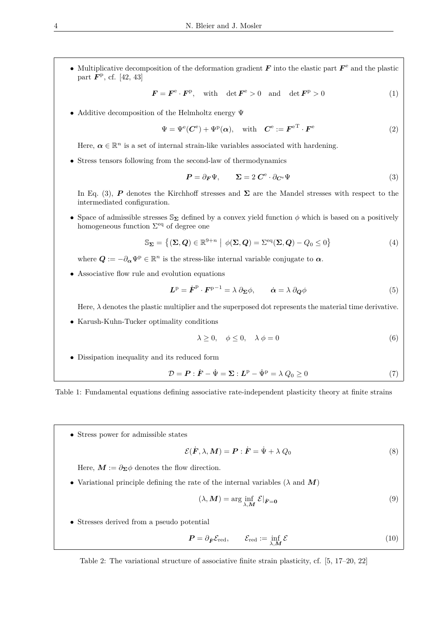• Multiplicative decomposition of the deformation gradient  $\bm{F}$  into the elastic part  $\bm{F}^e$  and the plastic part  $\mathbf{F}^{\rm p}$ , cf. [42, 43]

$$
\boldsymbol{F} = \boldsymbol{F}^{\mathrm{e}} \cdot \boldsymbol{F}^{\mathrm{p}}, \quad \text{with} \quad \det \boldsymbol{F}^{\mathrm{e}} > 0 \quad \text{and} \quad \det \boldsymbol{F}^{\mathrm{p}} > 0 \tag{1}
$$

• Additive decomposition of the Helmholtz energy Ψ

$$
\Psi = \Psi^{\text{e}}(C^{\text{e}}) + \Psi^{\text{p}}(\alpha), \quad \text{with} \quad C^{\text{e}} := \boldsymbol{F}^{\text{e}} \cdot \boldsymbol{F}^{\text{e}} \tag{2}
$$

Here,  $\alpha \in \mathbb{R}^n$  is a set of internal strain-like variables associated with hardening.

• Stress tensors following from the second-law of thermodynamics

$$
\boldsymbol{P} = \partial_{\boldsymbol{F}} \Psi, \qquad \boldsymbol{\Sigma} = 2 \, \boldsymbol{C}^{\text{e}} \cdot \partial_{\boldsymbol{C}^{\text{e}}} \Psi \tag{3}
$$

In Eq. (3), *P* denotes the Kirchhoff stresses and **Σ** are the Mandel stresses with respect to the intermediated configuration.

• Space of admissible stresses  $\mathbb{S}_{\Sigma}$  defined by a convex yield function  $\phi$  which is based on a positively homogeneous function  $\Sigma<sup>eq</sup>$  of degree one

$$
\mathbb{S}_{\Sigma} = \{ (\Sigma, Q) \in \mathbb{R}^{9+n} \mid \phi(\Sigma, Q) = \Sigma^{\text{eq}}(\Sigma, Q) - Q_0 \le 0 \}
$$
 (4)

where  $Q := -\partial_{\alpha} \Psi^{\mathbf{p}} \in \mathbb{R}^{n}$  is the stress-like internal variable conjugate to  $\alpha$ .

• Associative flow rule and evolution equations

$$
\mathbf{L}^{\mathbf{p}} = \dot{\mathbf{F}}^{\mathbf{p}} \cdot \mathbf{F}^{\mathbf{p}-1} = \lambda \partial_{\Sigma} \phi, \qquad \dot{\alpha} = \lambda \partial_{\mathbf{Q}} \phi \tag{5}
$$

Here,  $\lambda$  denotes the plastic multiplier and the superposed dot represents the material time derivative.

• Karush-Kuhn-Tucker optimality conditions

$$
\lambda \ge 0, \quad \phi \le 0, \quad \lambda \phi = 0 \tag{6}
$$

• Dissipation inequality and its reduced form

$$
\mathcal{D} = \boldsymbol{P} : \dot{\boldsymbol{F}} - \dot{\boldsymbol{\Psi}} = \boldsymbol{\Sigma} : \boldsymbol{L}^{p} - \dot{\boldsymbol{\Psi}}^{p} = \lambda \ Q_{0} \ge 0 \tag{7}
$$

Table 1: Fundamental equations defining associative rate-independent plasticity theory at finite strains

• Stress power for admissible states

$$
\mathcal{E}(\dot{F}, \lambda, \mathbf{M}) = \mathbf{P} : \dot{F} = \dot{\Psi} + \lambda Q_0 \tag{8}
$$

Here,  $M := \partial_{\Sigma} \phi$  denotes the flow direction.

• Variational principle defining the rate of the internal variables ( $\lambda$  and  $\boldsymbol{M}$ )

$$
(\lambda, \mathbf{M}) = \arg\inf_{\lambda, \mathbf{M}} \mathcal{E}|_{\dot{F} = 0} \tag{9}
$$

• Stresses derived from a pseudo potential

$$
\boldsymbol{P} = \partial_{\dot{\boldsymbol{F}}} \mathcal{E}_{\text{red}}, \qquad \mathcal{E}_{\text{red}} := \inf_{\lambda, \boldsymbol{M}} \mathcal{E} \tag{10}
$$

Table 2: The variational structure of associative finite strain plasticity, cf. [5, 17–20, 22]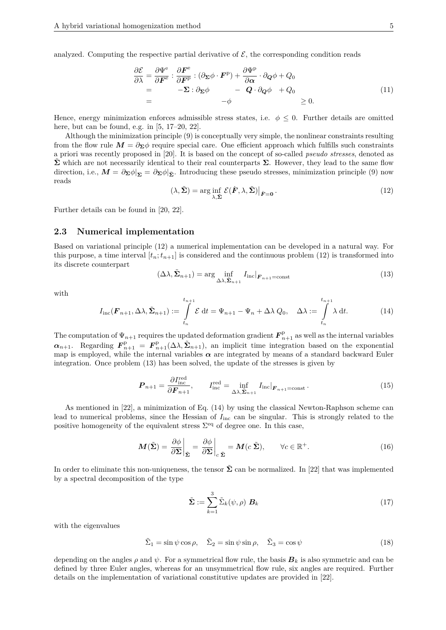analyzed. Computing the respective partial derivative of  $\mathcal{E}$ , the corresponding condition reads

$$
\frac{\partial \mathcal{E}}{\partial \lambda} = \frac{\partial \Psi^{\mathbf{e}}}{\partial \mathbf{F}^{\mathbf{e}}} : \frac{\partial \mathbf{F}^{\mathbf{e}}}{\partial \mathbf{F}^{\mathbf{p}}} : (\partial_{\Sigma} \phi \cdot \mathbf{F}^{\mathbf{p}}) + \frac{\partial \Psi^{\mathbf{p}}}{\partial \alpha} \cdot \partial_{\mathbf{Q}} \phi + Q_{0}
$$
\n
$$
= -\Sigma : \partial_{\Sigma} \phi - Q \cdot \partial_{\mathbf{Q}} \phi + Q_{0}
$$
\n
$$
= -\phi \qquad \geq 0.
$$
\n(11)

Hence, energy minimization enforces admissible stress states, i.e.  $\phi \leq 0$ . Further details are omitted here, but can be found, e.g. in [5, 17–20, 22].

Although the minimization principle (9) is conceptually very simple, the nonlinear constraints resulting from the flow rule  $M = \partial_{\Sigma} \phi$  require special care. One efficient approach which fulfills such constraints a priori was recently proposed in [20]. It is based on the concept of so-called *pseudo stresses*, denoted as  $\Sigma$  which are not necessarily identical to their real counterparts  $\Sigma$ . However, they lead to the same flow direction, i.e.,  $\mathbf{M} = \partial \mathbf{\Sigma} \phi |_{\mathbf{\Sigma}} = \partial \mathbf{\Sigma} \phi |_{\mathbf{\Sigma}}$ . Introducing these pseudo stresses, minimization principle (9) now reads

$$
(\lambda, \tilde{\Sigma}) = \arg\inf_{\lambda, \tilde{\Sigma}} \mathcal{E}(\dot{F}, \lambda, \tilde{\Sigma})|_{\dot{F} = 0}.
$$
\n(12)

Further details can be found in [20, 22].

#### **2.3 Numerical implementation**

Based on variational principle (12) a numerical implementation can be developed in a natural way. For this purpose, a time interval  $[t_n; t_{n+1}]$  is considered and the continuous problem (12) is transformed into its discrete counterpart

$$
(\Delta\lambda, \tilde{\Sigma}_{n+1}) = \arg\inf_{\Delta\lambda, \tilde{\Sigma}_{n+1}} I_{\text{inc}}|_{\mathbf{F}_{n+1} = \text{const}}
$$
(13)

with

$$
I_{\text{inc}}(\boldsymbol{F}_{n+1}, \Delta \lambda, \tilde{\boldsymbol{\Sigma}}_{n+1}) := \int_{t_n}^{t_{n+1}} \mathcal{E} dt = \Psi_{n+1} - \Psi_n + \Delta \lambda Q_0, \quad \Delta \lambda := \int_{t_n}^{t_{n+1}} \lambda dt. \tag{14}
$$

The computation of  $\Psi_{n+1}$  requires the updated deformation gradient  $\mathbf{F}_{n+1}^{\text{p}}$  as well as the internal variables  $\alpha_{n+1}$ . Regarding  $\mathbf{F}_{n+1}^{\text{p}} = \mathbf{F}_{n+1}^{\text{p}}(\Delta \lambda, \tilde{\Sigma}_{n+1}),$  an implicit time integration based on the exponential map is employed, while the internal variables  $\alpha$  are integrated by means of a standard backward Euler integration. Once problem (13) has been solved, the update of the stresses is given by

$$
\boldsymbol{P}_{n+1} = \frac{\partial I_{\text{inc}}^{\text{red}}}{\partial \boldsymbol{F}_{n+1}}, \qquad I_{\text{inc}}^{\text{red}} = \inf_{\Delta \lambda, \tilde{\boldsymbol{\Sigma}}_{n+1}} I_{\text{inc}} |_{\boldsymbol{F}_{n+1} = \text{const}}.
$$
(15)

As mentioned in [22], a minimization of Eq. (14) by using the classical Newton-Raphson scheme can lead to numerical problems, since the Hessian of  $I_{inc}$  can be singular. This is strongly related to the positive homogeneity of the equivalent stress  $\Sigma^{\text{eq}}$  of degree one. In this case,

$$
\boldsymbol{M}(\tilde{\boldsymbol{\Sigma}}) = \left. \frac{\partial \phi}{\partial \boldsymbol{\Sigma}} \right|_{\tilde{\boldsymbol{\Sigma}}} = \left. \frac{\partial \phi}{\partial \boldsymbol{\Sigma}} \right|_{c \, \tilde{\boldsymbol{\Sigma}}} = \boldsymbol{M}(c \, \tilde{\boldsymbol{\Sigma}}), \qquad \forall c \in \mathbb{R}^+.
$$
\n(16)

In order to eliminate this non-uniqueness, the tensor  $\tilde{\Sigma}$  can be normalized. In [22] that was implemented by a spectral decomposition of the type

$$
\tilde{\Sigma} := \sum_{k=1}^{3} \tilde{\Sigma}_k(\psi, \rho) \ B_k \tag{17}
$$

with the eigenvalues

$$
\tilde{\Sigma}_1 = \sin \psi \cos \rho, \quad \tilde{\Sigma}_2 = \sin \psi \sin \rho, \quad \tilde{\Sigma}_3 = \cos \psi \tag{18}
$$

depending on the angles  $\rho$  and  $\psi$ . For a symmetrical flow rule, the basis  $B_k$  is also symmetric and can be defined by three Euler angles, whereas for an unsymmetrical flow rule, six angles are required. Further details on the implementation of variational constitutive updates are provided in [22].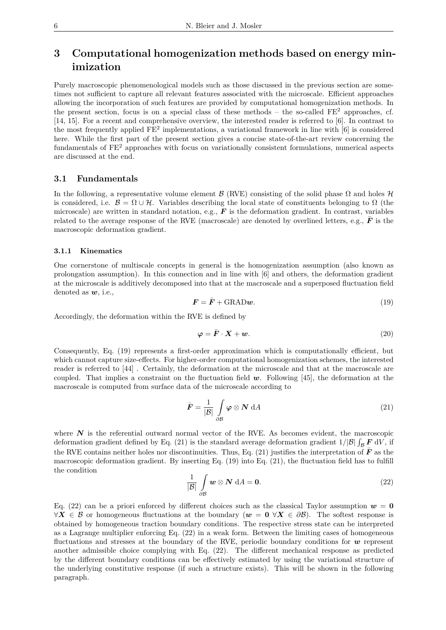## **3 Computational homogenization methods based on energy minimization**

Purely macroscopic phenomenological models such as those discussed in the previous section are sometimes not sufficient to capture all relevant features associated with the microscale. Efficient approaches allowing the incorporation of such features are provided by computational homogenization methods. In the present section, focus is on a special class of these methods – the so-called  $FE^2$  approaches, cf. [14, 15]. For a recent and comprehensive overview, the interested reader is referred to [6]. In contrast to the most frequently applied FE<sup>2</sup> implementations, a variational framework in line with [6] is considered here. While the first part of the present section gives a concise state-of-the-art review concerning the fundamentals of FE<sup>2</sup> approaches with focus on variationally consistent formulations, numerical aspects are discussed at the end.

#### **3.1 Fundamentals**

In the following, a representative volume element B (RVE) consisting of the solid phase  $\Omega$  and holes  $\mathcal{H}$ is considered, i.e.  $\mathcal{B} = \Omega \cup \mathcal{H}$ . Variables describing the local state of constituents belonging to  $\Omega$  (the microscale) are written in standard notation, e.g., *F* is the deformation gradient. In contrast, variables related to the average response of the RVE (macroscale) are denoted by overlined letters, e.g.,  $\bar{F}$  is the macroscopic deformation gradient.

#### **3.1.1 Kinematics**

One cornerstone of multiscale concepts in general is the homogenization assumption (also known as prolongation assumption). In this connection and in line with [6] and others, the deformation gradient at the microscale is additively decomposed into that at the macroscale and a superposed fluctuation field denoted as *w*, i.e.,

$$
\mathbf{F} = \bar{\mathbf{F}} + \text{GRAD}\mathbf{w}.\tag{19}
$$

Accordingly, the deformation within the RVE is defined by

$$
\varphi = \bar{F} \cdot X + w. \tag{20}
$$

Consequently, Eq. (19) represents a first-order approximation which is computationally efficient, but which cannot capture size-effects. For higher-order computational homogenization schemes, the interested reader is referred to [44] . Certainly, the deformation at the microscale and that at the macroscale are coupled. That implies a constraint on the fluctuation field *w*. Following [45], the deformation at the macroscale is computed from surface data of the microscale according to

$$
\bar{F} = \frac{1}{|\mathcal{B}|} \int_{\partial \mathcal{B}} \varphi \otimes \mathbf{N} \, \mathrm{d}A \tag{21}
$$

where  $N$  is the referential outward normal vector of the RVE. As becomes evident, the macroscopic deformation gradient defined by Eq. (21) is the standard average deformation gradient  $1/|B| \int_{\mathcal{B}} \mathbf{F} dV$ , if the RVE contains neither holes nor discontinuities. Thus, Eq.  $(21)$  justifies the interpretation of  $\bar{F}$  as the macroscopic deformation gradient. By inserting Eq. (19) into Eq. (21), the fluctuation field has to fulfill the condition

$$
\frac{1}{|\mathcal{B}|} \int_{\partial \mathcal{B}} \mathbf{w} \otimes \mathbf{N} \, dA = \mathbf{0}.
$$
 (22)

Eq. (22) can be a priori enforced by different choices such as the classical Taylor assumption  $w = 0$  $\forall X \in \mathcal{B}$  or homogeneous fluctuations at the boundary ( $w = 0 \ \forall X \in \partial \mathcal{B}$ ). The softest response is obtained by homogeneous traction boundary conditions. The respective stress state can be interpreted as a Lagrange multiplier enforcing Eq. (22) in a weak form. Between the limiting cases of homogeneous fluctuations and stresses at the boundary of the RVE, periodic boundary conditions for *w* represent another admissible choice complying with Eq. (22). The different mechanical response as predicted by the different boundary conditions can be effectively estimated by using the variational structure of the underlying constitutive response (if such a structure exists). This will be shown in the following paragraph.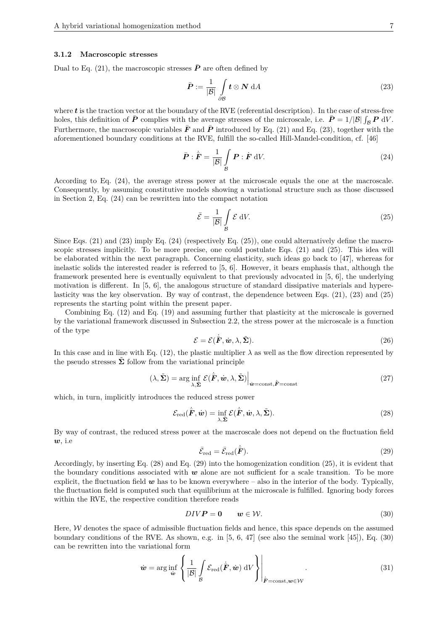#### **3.1.2 Macroscopic stresses**

Dual to Eq. (21), the macroscopic stresses  $\bar{P}$  are often defined by

$$
\bar{P} := \frac{1}{|\mathcal{B}|} \int_{\partial \mathcal{B}} t \otimes \mathbf{N} \, \mathrm{d}A \tag{23}
$$

where **t** is the traction vector at the boundary of the RVE (referential description). In the case of stress-free holes, this definition of  $\bar{P}$  complies with the average stresses of the microscale, i.e.  $\bar{P} = 1/|B| \int_B P dV$ . Furthermore, the macroscopic variables  $\bar{F}$  and  $\bar{P}$  introduced by Eq. (21) and Eq. (23), together with the aforementioned boundary conditions at the RVE, fulfill the so-called Hill-Mandel-condition, cf. [46]

$$
\bar{\boldsymbol{P}} : \dot{\bar{\boldsymbol{F}}} = \frac{1}{|\mathcal{B}|} \int_{\mathcal{B}} \boldsymbol{P} : \dot{\boldsymbol{F}} \, \mathrm{d}V. \tag{24}
$$

According to Eq. (24), the average stress power at the microscale equals the one at the macroscale. Consequently, by assuming constitutive models showing a variational structure such as those discussed in Section 2, Eq. (24) can be rewritten into the compact notation

$$
\bar{\mathcal{E}} = \frac{1}{|\mathcal{B}|} \int_{\mathcal{B}} \mathcal{E} \, \mathrm{d}V. \tag{25}
$$

Since Eqs. (21) and (23) imply Eq. (24) (respectively Eq. (25)), one could alternatively define the macroscopic stresses implicitly. To be more precise, one could postulate Eqs. (21) and (25). This idea will be elaborated within the next paragraph. Concerning elasticity, such ideas go back to [47], whereas for inelastic solids the interested reader is referred to [5, 6]. However, it bears emphasis that, although the framework presented here is eventually equivalent to that previously advocated in [5, 6], the underlying motivation is different. In [5, 6], the analogous structure of standard dissipative materials and hyperelasticity was the key observation. By way of contrast, the dependence between Eqs. (21), (23) and (25) represents the starting point within the present paper.

Combining Eq. (12) and Eq. (19) and assuming further that plasticity at the microscale is governed by the variational framework discussed in Subsection 2.2, the stress power at the microscale is a function of the type

$$
\mathcal{E} = \mathcal{E}(\dot{\bar{\mathbf{F}}}, \dot{\boldsymbol{w}}, \lambda, \tilde{\boldsymbol{\Sigma}}). \tag{26}
$$

In this case and in line with Eq. (12), the plastic multiplier  $\lambda$  as well as the flow direction represented by the pseudo stresses  $\tilde{\Sigma}$  follow from the variational principle

$$
(\lambda, \tilde{\Sigma}) = \arg\inf_{\lambda, \tilde{\Sigma}} \mathcal{E}(\dot{\bar{F}}, \dot{w}, \lambda, \tilde{\Sigma}) \Big|_{\dot{w} = \text{const}, \dot{\bar{F}} = \text{const}} \tag{27}
$$

which, in turn, implicitly introduces the reduced stress power

$$
\mathcal{E}_{\text{red}}(\dot{\bar{\boldsymbol{F}}}, \dot{\boldsymbol{w}}) = \inf_{\lambda, \tilde{\boldsymbol{\Sigma}}} \mathcal{E}(\dot{\bar{\boldsymbol{F}}}, \dot{\boldsymbol{w}}, \lambda, \tilde{\boldsymbol{\Sigma}}). \tag{28}
$$

By way of contrast, the reduced stress power at the macroscale does not depend on the fluctuation field *w*, i.e

$$
\bar{\mathcal{E}}_{\text{red}} = \bar{\mathcal{E}}_{\text{red}}(\dot{\bar{\boldsymbol{F}}}).\tag{29}
$$

Accordingly, by inserting Eq. (28) and Eq. (29) into the homogenization condition (25), it is evident that the boundary conditions associated with *w* alone are not sufficient for a scale transition. To be more explicit, the fluctuation field  $w$  has to be known everywhere – also in the interior of the body. Typically, the fluctuation field is computed such that equilibrium at the microscale is fulfilled. Ignoring body forces within the RVE, the respective condition therefore reads

$$
DIVP = 0 \qquad w \in \mathcal{W}.\tag{30}
$$

Here,  $W$  denotes the space of admissible fluctuation fields and hence, this space depends on the assumed boundary conditions of the RVE. As shown, e.g. in [5, 6, 47] (see also the seminal work [45]), Eq. (30) can be rewritten into the variational form

$$
\dot{\boldsymbol{w}} = \arg\inf_{\dot{\boldsymbol{w}}} \left\{ \frac{1}{|\mathcal{B}|} \int_{\mathcal{B}} \mathcal{E}_{\text{red}}(\dot{\boldsymbol{F}}, \dot{\boldsymbol{w}}) \, \mathrm{d}V \right\} \Big|_{\dot{\boldsymbol{F}} = \text{const}, \boldsymbol{w} \in \mathcal{W}}.
$$
\n(31)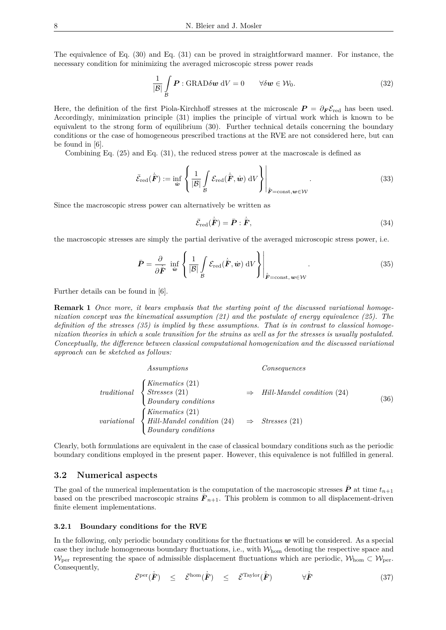The equivalence of Eq. (30) and Eq. (31) can be proved in straightforward manner. For instance, the necessary condition for minimizing the averaged microscopic stress power reads

$$
\frac{1}{|\mathcal{B}|} \int_{\mathcal{B}} \mathbf{P} : \text{GRAD} \delta \mathbf{w} \, \mathrm{d}V = 0 \qquad \forall \delta \mathbf{w} \in \mathcal{W}_0. \tag{32}
$$

Here, the definition of the first Piola-Kirchhoff stresses at the microscale  $P = \partial_F \mathcal{E}_{\text{red}}$  has been used. Accordingly, minimization principle (31) implies the principle of virtual work which is known to be equivalent to the strong form of equilibrium (30). Further technical details concerning the boundary conditions or the case of homogeneous prescribed tractions at the RVE are not considered here, but can be found in [6].

Combining Eq. (25) and Eq. (31), the reduced stress power at the macroscale is defined as

$$
\bar{\mathcal{E}}_{\text{red}}(\dot{\bar{\boldsymbol{F}}}) := \inf_{\dot{\boldsymbol{w}}} \left\{ \frac{1}{|\mathcal{B}|} \int_{\mathcal{B}} \mathcal{E}_{\text{red}}(\dot{\bar{\boldsymbol{F}}}, \dot{\boldsymbol{w}}) \, \mathrm{d}V \right\} \Bigg|_{\dot{\bar{\boldsymbol{F}}} = \text{const}, \boldsymbol{w} \in \mathcal{W}}.
$$
\n(33)

Since the macroscopic stress power can alternatively be written as

$$
\bar{\mathcal{E}}_{\text{red}}(\dot{\bar{\boldsymbol{F}}}) = \bar{\boldsymbol{P}} : \dot{\bar{\boldsymbol{F}}},\tag{34}
$$

the macroscopic stresses are simply the partial derivative of the averaged microscopic stress power, i.e.

$$
\bar{P} = \frac{\partial}{\partial \bar{F}} \inf_{\dot{w}} \left\{ \frac{1}{|\mathcal{B}|} \int_{\mathcal{B}} \mathcal{E}_{\text{red}}(\dot{\bar{F}}, \dot{w}) \, \mathrm{d}V \right\} \Big|_{\dot{F} = \text{const}, \, \dot{w} \in \mathcal{W}} . \tag{35}
$$

Further details can be found in [6].

**Remark 1** *Once more, it bears emphasis that the starting point of the discussed variational homogenization concept was the kinematical assumption (21) and the postulate of energy equivalence (25). The definition of the stresses (35) is implied by these assumptions. That is in contrast to classical homogenization theories in which a scale transition for the strains as well as for the stresses is usually postulated. Conceptually, the difference between classical computational homogenization and the discussed variational approach can be sketched as follows:*

| Assumptions                                                                                                                                                                  | Consequences                       |      |
|------------------------------------------------------------------------------------------------------------------------------------------------------------------------------|------------------------------------|------|
| $\begin{array}{ll} \textit{traditional} & \left\{ \begin{array}{l} \textit{Kinematics (21)}\\ \textit{Stresses (21)} \end{array} \right. \end{array}$<br>Boundary conditions | Hill-Mandel condition (24)         | (36) |
| $\int$ Kinematics (21)<br>variational $\left\{$ Hill-Mandel condition (24)<br>$\label{eq:boundary} Boundary\ conditions$                                                     | $\Rightarrow$ <i>Stresses</i> (21) |      |

Clearly, both formulations are equivalent in the case of classical boundary conditions such as the periodic boundary conditions employed in the present paper. However, this equivalence is not fulfilled in general.

#### **3.2 Numerical aspects**

The goal of the numerical implementation is the computation of the macroscopic stresses  $\bar{P}$  at time  $t_{n+1}$ based on the prescribed macroscopic strains  $\bar{F}_{n+1}$ . This problem is common to all displacement-driven finite element implementations.

#### **3.2.1 Boundary conditions for the RVE**

In the following, only periodic boundary conditions for the fluctuations *w* will be considered. As a special case they include homogeneous boundary fluctuations, i.e., with  $W_{\text{hom}}$  denoting the respective space and W<sub>per</sub> representing the space of admissible displacement fluctuations which are periodic,  $W_{\text{hom}} \subset W_{\text{per}}$ . Consequently,

$$
\bar{\mathcal{E}}^{\text{per}}(\dot{\bar{\boldsymbol{F}}}) \leq \bar{\mathcal{E}}^{\text{hom}}(\dot{\bar{\boldsymbol{F}}}) \leq \bar{\mathcal{E}}^{\text{Taylor}}(\dot{\bar{\boldsymbol{F}}}) \qquad \forall \dot{\bar{\boldsymbol{F}}} \tag{37}
$$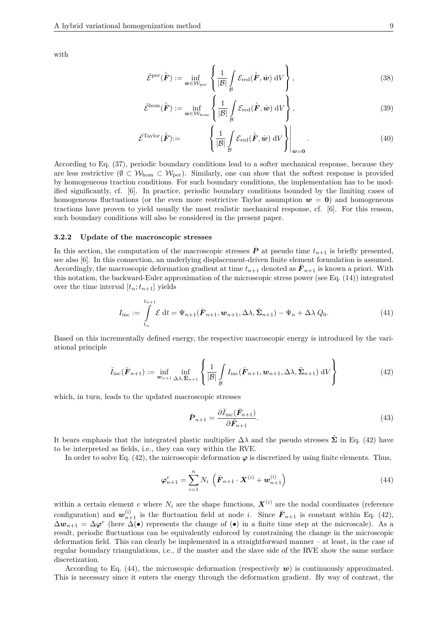with

$$
\bar{\mathcal{E}}^{\text{per}}(\dot{\bar{\boldsymbol{F}}}) := \inf_{\dot{\boldsymbol{w}} \in \mathcal{W}_{\text{per}}} \left\{ \frac{1}{|\mathcal{B}|} \int_{\mathcal{B}} \mathcal{E}_{\text{red}}(\dot{\bar{\boldsymbol{F}}}, \dot{\boldsymbol{w}}) \, \mathrm{d}V \right\},\tag{38}
$$

$$
\bar{\mathcal{E}}^{\text{hom}}(\dot{\bar{\boldsymbol{F}}}) := \inf_{\dot{\boldsymbol{w}} \in \mathcal{W}_{\text{hom}}} \left\{ \frac{1}{|\mathcal{B}|} \int_{\mathcal{B}} \mathcal{E}_{\text{red}}(\dot{\bar{\boldsymbol{F}}}, \dot{\boldsymbol{w}}) \, \mathrm{d}V \right\},\tag{39}
$$

$$
\bar{\mathcal{E}}^{\text{Taylor}}(\dot{\bar{\boldsymbol{F}}}) := \left\{ \left. \frac{1}{|\mathcal{B}|} \int_{\mathcal{B}} \mathcal{E}_{\text{red}}(\dot{\bar{\boldsymbol{F}}}, \dot{\boldsymbol{w}}) \, \mathrm{d}V \right\} \right|_{\dot{\boldsymbol{w}} = \mathbf{0}}.
$$
\n(40)

According to Eq. (37), periodic boundary conditions lead to a softer mechanical response, because they are less restrictive ( $\emptyset \subset \mathcal{W}_{\text{hom}} \subset \mathcal{W}_{\text{per}}$ ). Similarly, one can show that the softest response is provided by homogeneous traction conditions. For such boundary conditions, the implementation has to be modified significantly, cf. [6]. In practice, periodic boundary conditions bounded by the limiting cases of homogeneous fluctuations (or the even more restrictive Taylor assumption  $w = 0$ ) and homogeneous tractions have proven to yield usually the most realistic mechanical response, cf. [6]. For this reason, such boundary conditions will also be considered in the present paper.

#### **3.2.2 Update of the macroscopic stresses**

In this section, the computation of the macroscopic stresses  $\bar{P}$  at pseudo time  $t_{n+1}$  is briefly presented, see also [6]. In this connection, an underlying displacement-driven finite element formulation is assumed. Accordingly, the macroscopic deformation gradient at time  $t_{n+1}$  denoted as  $\bar{F}_{n+1}$  is known a priori. With this notation, the backward-Euler approximation of the microscopic stress power (see Eq. (14)) integrated over the time interval  $[t_n; t_{n+1}]$  yields

$$
I_{\text{inc}} := \int\limits_{t_n}^{t_{n+1}} \mathcal{E} dt = \Psi_{n+1}(\bar{F}_{n+1}, \boldsymbol{w}_{n+1}, \Delta \lambda, \tilde{\Sigma}_{n+1}) - \Psi_n + \Delta \lambda Q_0.
$$
 (41)

Based on this incrementally defined energy, the respective macroscopic energy is introduced by the variational principle

$$
\bar{I}_{\text{inc}}(\bar{\boldsymbol{F}}_{n+1}) := \inf_{\boldsymbol{w}_{n+1}} \inf_{\Delta \lambda, \tilde{\boldsymbol{\Sigma}}_{n+1}} \left\{ \frac{1}{|\mathcal{B}|} \int_{\mathcal{B}} I_{\text{inc}}(\bar{\boldsymbol{F}}_{n+1}, \boldsymbol{w}_{n+1}, \Delta \lambda, \tilde{\boldsymbol{\Sigma}}_{n+1}) \, \mathrm{d}V \right\} \tag{42}
$$

which, in turn, leads to the updated macroscopic stresses

$$
\bar{P}_{n+1} = \frac{\partial \bar{I}_{\text{inc}}(\bar{F}_{n+1})}{\partial \bar{F}_{n+1}}.
$$
\n(43)

It bears emphasis that the integrated plastic multiplier  $\Delta\lambda$  and the pseudo stresses  $\tilde{\Sigma}$  in Eq. (42) have to be interpreted as fields, i.e., they can vary within the RVE.

In order to solve Eq.  $(42)$ , the microscopic deformation  $\varphi$  is discretized by using finite elements. Thus,

$$
\varphi_{n+1}^e = \sum_{i=1}^n N_i \left( \bar{F}_{n+1} \cdot \bm{X}^{(i)} + \bm{w}_{n+1}^{(i)} \right) \tag{44}
$$

within a certain element *e* where  $N_i$  are the shape functions,  $\mathbf{X}^{(i)}$  are the nodal coordinates (reference configuration) and  $w_{n+1}^{(i)}$  is the fluctuation field at node *i*. Since  $\bar{F}_{n+1}$  is constant within Eq. (42),  $\Delta w_{n+1} = \Delta \varphi^e$  (here  $\Delta(\bullet)$  represents the change of  $(\bullet)$  in a finite time step at the microscale). As a result, periodic fluctuations can be equivalently enforced by constraining the change in the microscopic deformation field. This can clearly be implemented in a straightforward manner – at least, in the case of regular boundary triangulations, i.e., if the master and the slave side of the RVE show the same surface discretization.

According to Eq.  $(44)$ , the microscopic deformation (respectively  $w$ ) is continuously approximated. This is necessary since it enters the energy through the deformation gradient. By way of contrast, the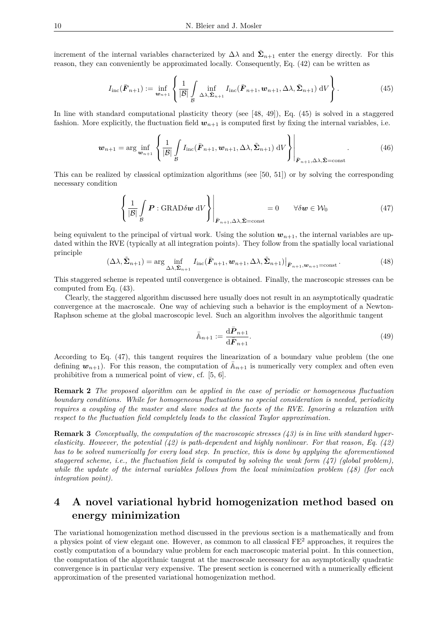increment of the internal variables characterized by  $\Delta\lambda$  and  $\tilde{\Sigma}_{n+1}$  enter the energy directly. For this reason, they can conveniently be approximated locally. Consequently, Eq. (42) can be written as

$$
I_{\text{inc}}(\bar{\boldsymbol{F}}_{n+1}) := \inf_{\boldsymbol{w}_{n+1}} \left\{ \frac{1}{|\mathcal{B}|} \int_{\mathcal{B}} \inf_{\Delta \lambda, \tilde{\boldsymbol{\Sigma}}_{n+1}} I_{\text{inc}}(\bar{\boldsymbol{F}}_{n+1}, \boldsymbol{w}_{n+1}, \Delta \lambda, \tilde{\boldsymbol{\Sigma}}_{n+1}) \, dV \right\}.
$$
 (45)

In line with standard computational plasticity theory (see [48, 49]), Eq. (45) is solved in a staggered fashion. More explicitly, the fluctuation field  $w_{n+1}$  is computed first by fixing the internal variables, i.e.

$$
\boldsymbol{w}_{n+1} = \arg\inf_{\boldsymbol{w}_{n+1}} \left\{ \frac{1}{|\mathcal{B}|} \int_{\mathcal{B}} I_{\text{inc}}(\bar{\boldsymbol{F}}_{n+1}, \boldsymbol{w}_{n+1}, \Delta \lambda, \tilde{\boldsymbol{\Sigma}}_{n+1}) \, dV \right\} \Bigg|_{\bar{\boldsymbol{F}}_{n+1}, \Delta \lambda, \tilde{\boldsymbol{\Sigma}} = \text{const}} \tag{46}
$$

This can be realized by classical optimization algorithms (see [50, 51]) or by solving the corresponding necessary condition

$$
\left\{ \frac{1}{|\mathcal{B}|} \int_{\mathcal{B}} \boldsymbol{P} : \text{GRAD}\delta \boldsymbol{w} \, dV \right\} \Big|_{\bar{\boldsymbol{F}}_{n+1}, \Delta \lambda, \tilde{\boldsymbol{\Sigma}} = \text{const}} = 0 \qquad \forall \delta \boldsymbol{w} \in \mathcal{W}_0 \tag{47}
$$

being equivalent to the principal of virtual work. Using the solution  $w_{n+1}$ , the internal variables are updated within the RVE (typically at all integration points). They follow from the spatially local variational principle

$$
(\Delta\lambda, \tilde{\Sigma}_{n+1}) = \arg\inf_{\Delta\lambda, \tilde{\Sigma}_{n+1}} I_{\text{inc}}(\bar{\boldsymbol{F}}_{n+1}, \boldsymbol{w}_{n+1}, \Delta\lambda, \tilde{\Sigma}_{n+1})|_{\bar{\boldsymbol{F}}_{n+1}, \boldsymbol{w}_{n+1} = \text{const}}.
$$
(48)

This staggered scheme is repeated until convergence is obtained. Finally, the macroscopic stresses can be computed from Eq. (43).

Clearly, the staggered algorithm discussed here usually does not result in an asymptotically quadratic convergence at the macroscale. One way of achieving such a behavior is the employment of a Newton-Raphson scheme at the global macroscopic level. Such an algorithm involves the algorithmic tangent

$$
\bar{\mathbb{A}}_{n+1} := \frac{\mathrm{d}\bar{P}_{n+1}}{\mathrm{d}\bar{F}_{n+1}}.\tag{49}
$$

According to Eq. (47), this tangent requires the linearization of a boundary value problem (the one defining  $w_{n+1}$ ). For this reason, the computation of  $\bar{A}_{n+1}$  is numerically very complex and often even prohibitive from a numerical point of view, cf. [5, 6].

**Remark 2** *The proposed algorithm can be applied in the case of periodic or homogeneous fluctuation boundary conditions. While for homogeneous fluctuations no special consideration is needed, periodicity requires a coupling of the master and slave nodes at the facets of the RVE. Ignoring a relaxation with respect to the fluctuation field completely leads to the classical Taylor approximation.*

**Remark 3** *Conceptually, the computation of the macroscopic stresses (43) is in line with standard hyperelasticity. However, the potential (42) is path-dependent and highly nonlinear. For that reason, Eq. (42) has to be solved numerically for every load step. In practice, this is done by applying the aforementioned staggered scheme, i.e., the fluctuation field is computed by solving the weak form (47) (global problem), while the update of the internal variables follows from the local minimization problem (48) (for each integration point).*

## **4 A novel variational hybrid homogenization method based on energy minimization**

The variational homogenization method discussed in the previous section is a mathematically and from a physics point of view elegant one. However, as common to all classical FE<sup>2</sup> approaches, it requires the costly computation of a boundary value problem for each macroscopic material point. In this connection, the computation of the algorithmic tangent at the macroscale necessary for an asymptotically quadratic convergence is in particular very expensive. The present section is concerned with a numerically efficient approximation of the presented variational homogenization method.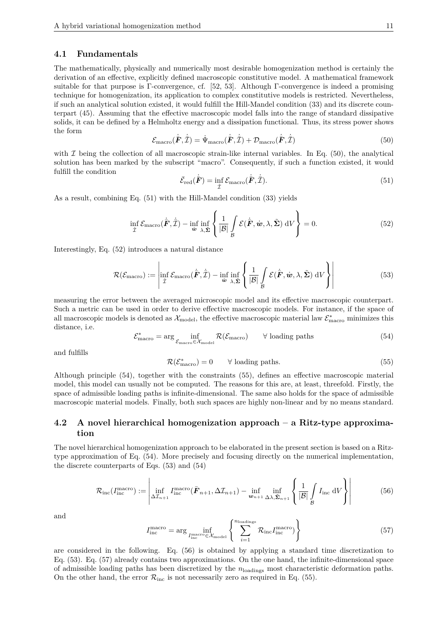#### **4.1 Fundamentals**

The mathematically, physically and numerically most desirable homogenization method is certainly the derivation of an effective, explicitly defined macroscopic constitutive model. A mathematical framework suitable for that purpose is Γ-convergence, cf. [52, 53]. Although Γ-convergence is indeed a promising technique for homogenization, its application to complex constitutive models is restricted. Nevertheless, if such an analytical solution existed, it would fulfill the Hill-Mandel condition (33) and its discrete counterpart (45). Assuming that the effective macroscopic model falls into the range of standard dissipative solids, it can be defined by a Helmholtz energy and a dissipation functional. Thus, its stress power shows the form

$$
\mathcal{E}_{\text{macro}}(\dot{\bar{F}}, \dot{\bar{\mathcal{I}}}) = \dot{\Psi}_{\text{macro}}(\dot{\bar{F}}, \dot{\bar{\mathcal{I}}}) + \mathcal{D}_{\text{macro}}(\dot{\bar{F}}, \dot{\bar{\mathcal{I}}}) \tag{50}
$$

with  $\mathcal I$  being the collection of all macroscopic strain-like internal variables. In Eq. (50), the analytical solution has been marked by the subscript "macro". Consequently, if such a function existed, it would fulfill the condition

$$
\bar{\mathcal{E}}_{\text{red}}(\dot{\bar{\boldsymbol{F}}}) = \inf_{\dot{\mathcal{I}}} \mathcal{E}_{\text{macro}}(\dot{\bar{\boldsymbol{F}}}, \dot{\bar{\mathcal{I}}}). \tag{51}
$$

As a result, combining Eq. (51) with the Hill-Mandel condition (33) yields

$$
\inf_{\hat{\mathcal{I}}} \mathcal{E}_{\text{macro}}(\dot{\bar{\boldsymbol{F}}}, \dot{\bar{\mathcal{I}}}) - \inf_{\hat{\boldsymbol{w}}} \inf_{\lambda, \tilde{\boldsymbol{\Sigma}}} \left\{ \frac{1}{|\mathcal{B}|} \int_{\mathcal{B}} \mathcal{E}(\dot{\bar{\boldsymbol{F}}}, \dot{\boldsymbol{w}}, \lambda, \tilde{\boldsymbol{\Sigma}}) \, \mathrm{d}V \right\} = 0. \tag{52}
$$

Interestingly, Eq. (52) introduces a natural distance

$$
\mathcal{R}(\mathcal{E}_{\text{macro}}) := \left| \inf_{\mathcal{I}} \mathcal{E}_{\text{macro}}(\dot{\bar{\boldsymbol{F}}}, \dot{\bar{\mathcal{I}}}) - \inf_{\dot{\boldsymbol{w}} \lambda, \dot{\boldsymbol{\Sigma}}} \left\{ \frac{1}{|\mathcal{B}|} \int_{\mathcal{B}} \mathcal{E}(\dot{\bar{\boldsymbol{F}}}, \dot{\boldsymbol{w}}, \lambda, \tilde{\boldsymbol{\Sigma}}) \, \mathrm{d}V \right\} \right| \tag{53}
$$

measuring the error between the averaged microscopic model and its effective macroscopic counterpart. Such a metric can be used in order to derive effective macroscopic models. For instance, if the space of all macroscopic models is denoted as  $\mathcal{X}_{\text{model}}$ , the effective macroscopic material law  $\mathcal{E}_{\text{macro}}^{*}$  minimizes this distance, i.e.

$$
\mathcal{E}_{\text{macro}}^{*} = \arg\inf_{\mathcal{E}_{\text{macro}} \in \mathcal{X}_{\text{model}}} \mathcal{R}(\mathcal{E}_{\text{macro}}) \qquad \forall \text{ loading paths} \tag{54}
$$

and fulfills

$$
\mathcal{R}(\mathcal{E}_{\text{macro}}^*) = 0 \qquad \forall \text{ loading paths.} \tag{55}
$$

Although principle (54), together with the constraints (55), defines an effective macroscopic material model, this model can usually not be computed. The reasons for this are, at least, threefold. Firstly, the space of admissible loading paths is infinite-dimensional. The same also holds for the space of admissible macroscopic material models. Finally, both such spaces are highly non-linear and by no means standard.

#### **4.2 A novel hierarchical homogenization approach – a Ritz-type approximation**

The novel hierarchical homogenization approach to be elaborated in the present section is based on a Ritztype approximation of Eq. (54). More precisely and focusing directly on the numerical implementation, the discrete counterparts of Eqs. (53) and (54)

$$
\mathcal{R}_{\rm inc}(I_{\rm inc}^{\rm macro}) := \left| \inf_{\Delta \mathcal{I}_{n+1}} I_{\rm inc}^{\rm macro}(\bar{F}_{n+1}, \Delta \mathcal{I}_{n+1}) - \inf_{\mathbf{w}_{n+1}} \inf_{\Delta \lambda, \tilde{\Sigma}_{n+1}} \left\{ \frac{1}{|\mathcal{B}|} \int_{\mathcal{B}} I_{\rm inc} \, dV \right\} \right| \tag{56}
$$

and

$$
I_{\rm inc}^{\rm macro} = \arg\inf_{I_{\rm inc}^{\rm macro} \in \mathcal{X}_{\rm model}} \left\{ \sum_{i=1}^{n_{\rm loading}} \mathcal{R}_{\rm inc} I_{\rm inc}^{\rm macro} \right\} \tag{57}
$$

are considered in the following. Eq. (56) is obtained by applying a standard time discretization to Eq. (53). Eq. (57) already contains two approximations. On the one hand, the infinite-dimensional space of admissible loading paths has been discretized by the *n*loadings most characteristic deformation paths. On the other hand, the error  $\mathcal{R}_{\text{inc}}$  is not necessarily zero as required in Eq. (55).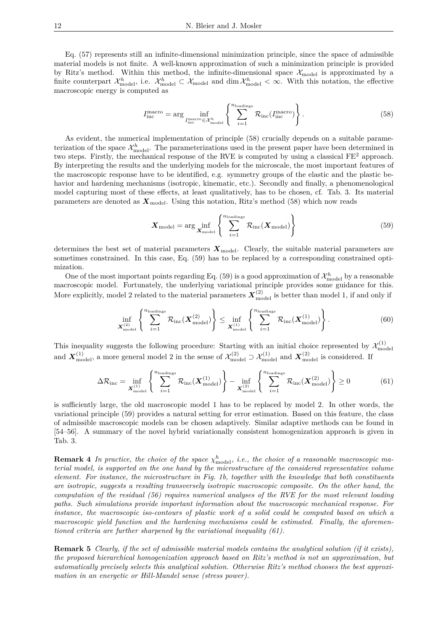Eq. (57) represents still an infinite-dimensional minimization principle, since the space of admissible material models is not finite. A well-known approximation of such a minimization principle is provided by Ritz's method. Within this method, the infinite-dimensional space  $\mathcal{X}_{\text{model}}$  is approximated by a finite counterpart  $\mathcal{X}_{\text{model}}^h$ , i.e.  $\mathcal{X}_{\text{model}}^h \subset \mathcal{X}_{\text{model}}$  and  $\dim \mathcal{X}_{\text{model}}^h < \infty$ . With this notation, the effective macroscopic energy is computed as

$$
I_{\rm inc}^{\rm macro} = \arg\inf_{I_{\rm inc}^{\rm macro} \in \mathcal{X}_{\rm model}^h} \left\{ \sum_{i=1}^{n_{\rm loadings}} \mathcal{R}_{\rm inc}(I_{\rm inc}^{\rm macro}) \right\}.
$$
 (58)

As evident, the numerical implementation of principle (58) crucially depends on a suitable parameterization of the space  $\mathcal{X}_{\text{model}}^h$ . The parameterizations used in the present paper have been determined in two steps. Firstly, the mechanical response of the RVE is computed by using a classical  $FE^2$  approach. By interpreting the results and the underlying models for the microscale, the most important features of the macroscopic response have to be identified, e.g. symmetry groups of the elastic and the plastic behavior and hardening mechanisms (isotropic, kinematic, etc.). Secondly and finally, a phenomenological model capturing most of these effects, at least qualitatively, has to be chosen, cf. Tab. 3. Its material parameters are denoted as  $\mathbf{X}_{\text{model}}$ . Using this notation, Ritz's method (58) which now reads

$$
\boldsymbol{X}_{\text{model}} = \arg\inf_{\boldsymbol{X}_{\text{model}}} \left\{ \sum_{i=1}^{n_{\text{loadings}}} \mathcal{R}_{\text{inc}}(\boldsymbol{X}_{\text{model}}) \right\} \tag{59}
$$

determines the best set of material parameters  $\mathbf{X}_{\text{model}}$ . Clearly, the suitable material parameters are sometimes constrained. In this case, Eq. (59) has to be replaced by a corresponding constrained optimization.

One of the most important points regarding Eq.  $(59)$  is a good approximation of  $\mathcal{X}_{\text{model}}^h$  by a reasonable macroscopic model. Fortunately, the underlying variational principle provides some guidance for this. More explicitly, model 2 related to the material parameters  $X_{\text{model}}^{(2)}$  is better than model 1, if and only if

$$
\inf_{\mathbf{X}_{\text{model}}^{(2)}} \left\{ \sum_{i=1}^{n_{\text{loading}}} \mathcal{R}_{\text{inc}}(\mathbf{X}_{\text{model}}^{(2)}) \right\} \le \inf_{\mathbf{X}_{\text{model}}^{(1)}} \left\{ \sum_{i=1}^{n_{\text{loading}}} \mathcal{R}_{\text{inc}}(\mathbf{X}_{\text{model}}^{(1)}) \right\}.
$$
 (60)

This inequality suggests the following procedure: Starting with an initial choice represented by  $\mathcal{X}_{\text{mo}}^{(1)}$ model and  $X_{\text{model}}^{(1)}$ , a more general model 2 in the sense of  $\mathcal{X}_{\text{model}}^{(2)} \supset \mathcal{X}_{\text{model}}^{(1)}$  and  $X_{\text{model}}^{(2)}$  is considered. If

$$
\Delta \mathcal{R}_{\text{inc}} = \inf_{\mathbf{X}_{\text{model}}^{(1)}} \left\{ \sum_{i=1}^{n_{\text{loadings}}} \mathcal{R}_{\text{inc}}(\mathbf{X}_{\text{model}}^{(1)}) \right\} - \inf_{\mathbf{X}_{\text{model}}^{(2)}} \left\{ \sum_{i=1}^{n_{\text{loadings}}} \mathcal{R}_{\text{inc}}(\mathbf{X}_{\text{model}}^{(2)}) \right\} \ge 0 \tag{61}
$$

is sufficiently large, the old macroscopic model 1 has to be replaced by model 2. In other words, the variational principle (59) provides a natural setting for error estimation. Based on this feature, the class of admissible macroscopic models can be chosen adaptively. Similar adaptive methods can be found in [54–56]. A summary of the novel hybrid variationally consistent homogenization approach is given in Tab. 3.

**Remark 4** *In practice, the choice of the space*  $\chi^h_{\text{model}}$ *, i.e., the choice of a reasonable macroscopic material model, is supported on the one hand by the microstructure of the considered representative volume element. For instance, the microstructure in Fig. 1b, together with the knowledge that both constituents are isotropic, suggests a resulting transversely isotropic macroscopic composite. On the other hand, the computation of the residual (56) requires numerical analyses of the RVE for the most relevant loading paths. Such simulations provide important information about the macroscopic mechanical response. For instance, the macroscopic iso-contours of plastic work of a solid could be computed based on which a macroscopic yield function and the hardening mechanisms could be estimated. Finally, the aforementioned criteria are further sharpened by the variational inequality (61).*

**Remark 5** *Clearly, if the set of admissible material models contains the analytical solution (if it exists), the proposed hierarchical homogenization approach based on Ritz's method is not an approximation, but automatically precisely selects this analytical solution. Otherwise Ritz's method chooses the best approximation in an energetic or Hill-Mandel sense (stress power).*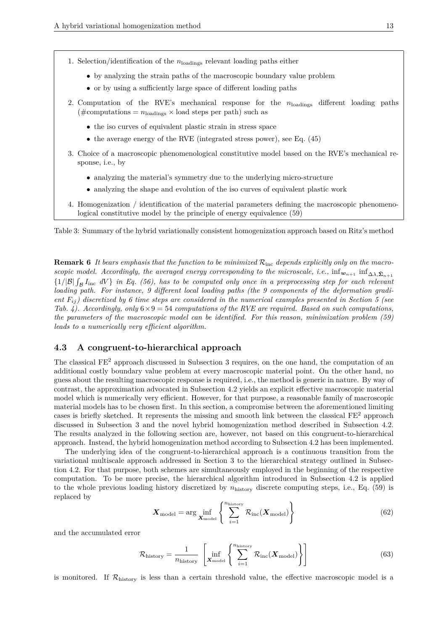- by analyzing the strain paths of the macroscopic boundary value problem
- or by using a sufficiently large space of different loading paths
- 2. Computation of the RVE's mechanical response for the *n*loadings different loading paths (#computations =  $n_{\text{loadings}} \times \text{load steps per path}$ ) such as
	- the iso curves of equivalent plastic strain in stress space
	- the average energy of the RVE (integrated stress power), see Eq. (45)
- 3. Choice of a macroscopic phenomenological constitutive model based on the RVE's mechanical response, i.e., by
	- analyzing the material's symmetry due to the underlying micro-structure
	- analyzing the shape and evolution of the iso curves of equivalent plastic work
- 4. Homogenization / identification of the material parameters defining the macroscopic phenomenological constitutive model by the principle of energy equivalence (59)

Table 3: Summary of the hybrid variationally consistent homogenization approach based on Ritz's method

**Remark 6** *It bears emphasis that the function to be minimized* Rinc *depends explicitly only on the macroscopic model. Accordingly, the averaged energy corresponding to the microscale, i.e.,*  $\inf_{w_{n+1}} \inf_{\Delta \lambda, \Sigma_{n+1}}$  $\{1/|\mathcal{B}|\int_{\mathcal{B}}I_{\text{inc}}dV\}$  *in Eq.* (56), has to be computed only once in a preprocessing step for each relevant *loading path. For instance, 9 different local loading paths (the 9 components of the deformation gradient Fij ) discretized by 6 time steps are considered in the numerical examples presented in Section 5 (see Tab. 4). Accordingly, only* 6×9 = 54 *computations of the RVE are required. Based on such computations, the parameters of the macroscopic model can be identified. For this reason, minimization problem (59) leads to a numerically very efficient algorithm.*

#### **4.3 A congruent-to-hierarchical approach**

The classical  $FE<sup>2</sup>$  approach discussed in Subsection 3 requires, on the one hand, the computation of an additional costly boundary value problem at every macroscopic material point. On the other hand, no guess about the resulting macroscopic response is required, i.e., the method is generic in nature. By way of contrast, the approximation advocated in Subsection 4.2 yields an explicit effective macroscopic material model which is numerically very efficient. However, for that purpose, a reasonable family of macroscopic material models has to be chosen first. In this section, a compromise between the aforementioned limiting cases is briefly sketched. It represents the missing and smooth link between the classical  $FE<sup>2</sup>$  approach discussed in Subsection 3 and the novel hybrid homogenization method described in Subsection 4.2. The results analyzed in the following section are, however, not based on this congruent-to-hierarchical approach. Instead, the hybrid homogenization method according to Subsection 4.2 has been implemented.

The underlying idea of the congruent-to-hierarchical approach is a continuous transition from the variational multiscale approach addressed in Section 3 to the hierarchical strategy outlined in Subsection 4.2. For that purpose, both schemes are simultaneously employed in the beginning of the respective computation. To be more precise, the hierarchical algorithm introduced in Subsection 4.2 is applied to the whole previous loading history discretized by *n*history discrete computing steps, i.e., Eq. (59) is replaced by

$$
\boldsymbol{X}_{\text{model}} = \arg\inf_{\boldsymbol{X}_{\text{model}}} \left\{ \sum_{i=1}^{n_{\text{history}}} \mathcal{R}_{\text{inc}}(\boldsymbol{X}_{\text{model}}) \right\} \tag{62}
$$

and the accumulated error

$$
\mathcal{R}_{\text{history}} = \frac{1}{n_{\text{history}}}\left[\inf_{\mathbf{X}_{\text{model}}} \left\{ \sum_{i=1}^{n_{\text{history}}}\mathcal{R}_{\text{inc}}(\mathbf{X}_{\text{model}}) \right\} \right]
$$
(63)

is monitored. If  $\mathcal{R}_{\text{history}}$  is less than a certain threshold value, the effective macroscopic model is a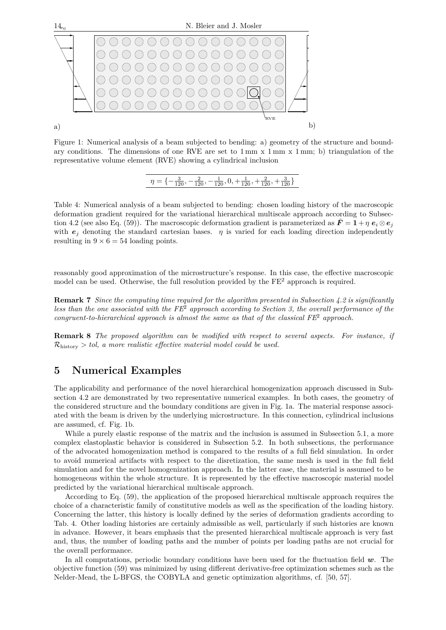

Figure 1: Numerical analysis of a beam subjected to bending: a) geometry of the structure and boundary conditions. The dimensions of one RVE are set to  $1 \text{ mm} \times 1 \text{ mm} \times 1 \text{ mm}$ ; b) triangulation of the representative volume element (RVE) showing a cylindrical inclusion

 $\eta = \{-\frac{3}{120}, -\frac{2}{120}, -\frac{1}{120}, 0, +\frac{1}{120}, +\frac{2}{120}, +\frac{3}{120}\}$ 

Table 4: Numerical analysis of a beam subjected to bending: chosen loading history of the macroscopic deformation gradient required for the variational hierarchical multiscale approach according to Subsection 4.2 (see also Eq. (59)). The macroscopic deformation gradient is parameterized as  $\mathbf{F} = \mathbf{1} + \eta \mathbf{e}_i \otimes \mathbf{e}_j$ with  $e_i$  denoting the standard cartesian bases.  $\eta$  is varied for each loading direction independently resulting in  $9 \times 6 = 54$  loading points.

reasonably good approximation of the microstructure's response. In this case, the effective macroscopic model can be used. Otherwise, the full resolution provided by the  $FE<sup>2</sup>$  approach is required.

**Remark 7** *Since the computing time required for the algorithm presented in Subsection 4.2 is significantly less than the one associated with the FE*<sup>2</sup> *approach according to Section 3, the overall performance of the congruent-to-hierarchical approach is almost the same as that of the classical FE*<sup>2</sup> *approach.*

**Remark 8** *The proposed algorithm can be modified with respect to several aspects. For instance, if* Rhistory *> tol, a more realistic effective material model could be used.*

## **5 Numerical Examples**

The applicability and performance of the novel hierarchical homogenization approach discussed in Subsection 4.2 are demonstrated by two representative numerical examples. In both cases, the geometry of the considered structure and the boundary conditions are given in Fig. 1a. The material response associated with the beam is driven by the underlying microstructure. In this connection, cylindrical inclusions are assumed, cf. Fig. 1b.

While a purely elastic response of the matrix and the inclusion is assumed in Subsection 5.1, a more complex elastoplastic behavior is considered in Subsection 5.2. In both subsections, the performance of the advocated homogenization method is compared to the results of a full field simulation. In order to avoid numerical artifacts with respect to the disretization, the same mesh is used in the full field simulation and for the novel homogenization approach. In the latter case, the material is assumed to be homogeneous within the whole structure. It is represented by the effective macroscopic material model predicted by the variational hierarchical multiscale approach.

According to Eq. (59), the application of the proposed hierarchical multiscale approach requires the choice of a characteristic family of constitutive models as well as the specification of the loading history. Concerning the latter, this history is locally defined by the series of deformation gradients according to Tab. 4. Other loading histories are certainly admissible as well, particularly if such histories are known in advance. However, it bears emphasis that the presented hierarchical multiscale approach is very fast and, thus, the number of loading paths and the number of points per loading paths are not crucial for the overall performance.

In all computations, periodic boundary conditions have been used for the fluctuation field *w*. The objective function (59) was minimized by using different derivative-free optimization schemes such as the Nelder-Mead, the L-BFGS, the COBYLA and genetic optimization algorithms, cf. [50, 57].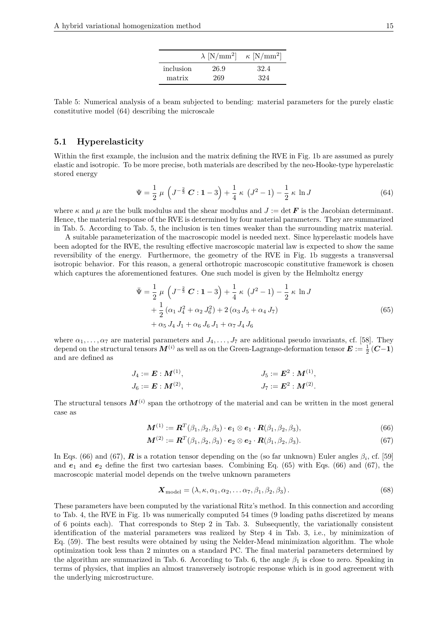|           | $\lambda$ [N/mm <sup>2</sup> ] | $\kappa$ [N/mm <sup>2</sup> ] |
|-----------|--------------------------------|-------------------------------|
| inclusion | 26.9                           | 32.4                          |
| matrix    | 269                            | 324                           |

Table 5: Numerical analysis of a beam subjected to bending: material parameters for the purely elastic constitutive model (64) describing the microscale

#### **5.1 Hyperelasticity**

Within the first example, the inclusion and the matrix defining the RVE in Fig. 1b are assumed as purely elastic and isotropic. To be more precise, both materials are described by the neo-Hooke-type hyperelastic stored energy

$$
\Psi = \frac{1}{2} \mu \left( J^{-\frac{2}{3}} C : 1 - 3 \right) + \frac{1}{4} \kappa \left( J^{2} - 1 \right) - \frac{1}{2} \kappa \ln J \tag{64}
$$

where  $\kappa$  and  $\mu$  are the bulk modulus and the shear modulus and  $J := \det F$  is the Jacobian determinant. Hence, the material response of the RVE is determined by four material parameters. They are summarized in Tab. 5. According to Tab. 5, the inclusion is ten times weaker than the surrounding matrix material.

A suitable parameterization of the macroscopic model is needed next. Since hyperelastic models have been adopted for the RVE, the resulting effective macroscopic material law is expected to show the same reversibility of the energy. Furthermore, the geometry of the RVE in Fig. 1b suggests a transversal isotropic behavior. For this reason, a general orthotropic macroscopic constitutive framework is chosen which captures the aforementioned features. One such model is given by the Helmholtz energy

$$
\bar{\Psi} = \frac{1}{2} \mu \left( J^{-\frac{2}{3}} C : 1 - 3 \right) + \frac{1}{4} \kappa \left( J^{2} - 1 \right) - \frac{1}{2} \kappa \ln J \n+ \frac{1}{2} \left( \alpha_{1} J_{4}^{2} + \alpha_{2} J_{6}^{2} \right) + 2 \left( \alpha_{3} J_{5} + \alpha_{4} J_{7} \right) \n+ \alpha_{5} J_{4} J_{1} + \alpha_{6} J_{6} J_{1} + \alpha_{7} J_{4} J_{6}
$$
\n(65)

where  $\alpha_1, \ldots, \alpha_7$  are material parameters and  $J_4, \ldots, J_7$  are additional pseudo invariants, cf. [58]. They depend on the structural tensors  $M^{(i)}$  as well as on the Green-Lagrange-deformation tensor  $E:=\frac{1}{2}(C-1)$ and are defined as

$$
J_4 := \mathbf{E} : \mathbf{M}^{(1)},
$$
  
\n
$$
J_5 := \mathbf{E}^2 : \mathbf{M}^{(1)},
$$
  
\n
$$
J_6 := \mathbf{E} : \mathbf{M}^{(2)},
$$
  
\n
$$
J_7 := \mathbf{E}^2 : \mathbf{M}^{(2)}.
$$

The structural tensors  $M^{(i)}$  span the orthotropy of the material and can be written in the most general case as

 $\mathbf{M}^{(1)} := \mathbf{R}^T(\beta_1, \beta_2, \beta_3) \cdot \mathbf{e}_1 \otimes \mathbf{e}_1 \cdot \mathbf{R}(\beta_1, \beta_2, \beta_3),$ (66)

$$
\mathbf{M}^{(2)} := \mathbf{R}^T(\beta_1, \beta_2, \beta_3) \cdot \mathbf{e}_2 \otimes \mathbf{e}_2 \cdot \mathbf{R}(\beta_1, \beta_2, \beta_3). \tag{67}
$$

In Eqs. (66) and (67),  $\bf{R}$  is a rotation tensor depending on the (so far unknown) Euler angles  $\beta_i$ , cf. [59] and  $e_1$  and  $e_2$  define the first two cartesian bases. Combining Eq. (65) with Eqs. (66) and (67), the macroscopic material model depends on the twelve unknown parameters

$$
\mathbf{X}_{\text{model}} = (\lambda, \kappa, \alpha_1, \alpha_2, \dots \alpha_7, \beta_1, \beta_2, \beta_3). \tag{68}
$$

These parameters have been computed by the variational Ritz's method. In this connection and according to Tab. 4, the RVE in Fig. 1b was numerically computed 54 times (9 loading paths discretized by means of 6 points each). That corresponds to Step 2 in Tab. 3. Subsequently, the variationally consistent identification of the material parameters was realized by Step 4 in Tab. 3, i.e., by minimization of Eq. (59). The best results were obtained by using the Nelder-Mead minimization algorithm. The whole optimization took less than 2 minutes on a standard PC. The final material parameters determined by the algorithm are summarized in Tab. 6. According to Tab. 6, the angle  $\beta_1$  is close to zero. Speaking in terms of physics, that implies an almost transversely isotropic response which is in good agreement with the underlying microstructure.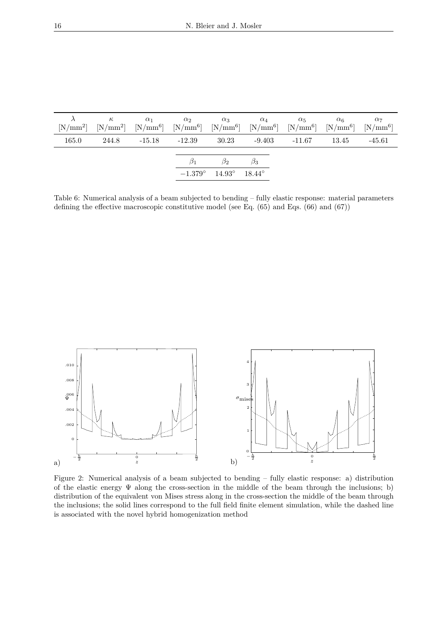|       |       | $\kappa \qquad \qquad \alpha_1$ | $\alpha_2$ | $\alpha_3$                                       | $\alpha_4$ | $\alpha_5 \qquad \alpha_6$<br>$[N/mm^2]$ $[N/mm^2]$ $[N/mm^6]$ $[N/mm^6]$ $[N/mm^6]$ $[N/mm^6]$ $[N/mm^6]$ $[N/mm^6]$ $[N/mm^6]$ |         | $\alpha_7$ |
|-------|-------|---------------------------------|------------|--------------------------------------------------|------------|----------------------------------------------------------------------------------------------------------------------------------|---------|------------|
| 165.0 | 244.8 | $-15.18$ $-12.39$               |            | 30.23                                            |            | $-9.403 -11.67$                                                                                                                  | - 13.45 | $-45.61$   |
|       |       |                                 |            | $\beta_2$                                        | $\beta_3$  |                                                                                                                                  |         |            |
|       |       |                                 |            | $-1.379^{\circ}$ $14.93^{\circ}$ $18.44^{\circ}$ |            |                                                                                                                                  |         |            |

Table 6: Numerical analysis of a beam subjected to bending – fully elastic response: material parameters defining the effective macroscopic constitutive model (see Eq. (65) and Eqs. (66) and (67))



Figure 2: Numerical analysis of a beam subjected to bending – fully elastic response: a) distribution of the elastic energy  $\Psi$  along the cross-section in the middle of the beam through the inclusions; b) distribution of the equivalent von Mises stress along in the cross-section the middle of the beam through the inclusions; the solid lines correspond to the full field finite element simulation, while the dashed line is associated with the novel hybrid homogenization method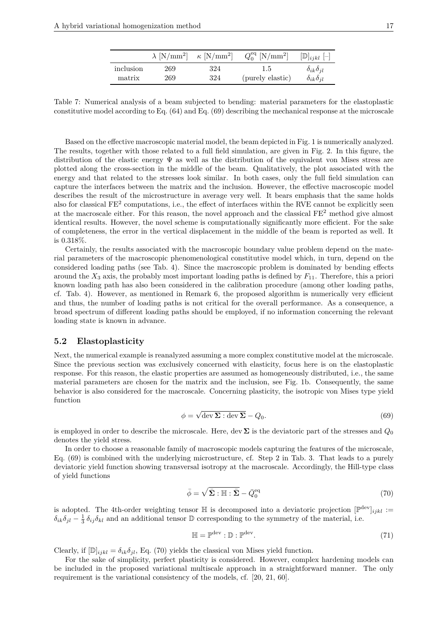|           | $\lambda$ [N/mm <sup>2</sup> ] $\kappa$ [N/mm <sup>2</sup> ] |     | $Q_0^{\text{eq}}$ [N/mm <sup>2</sup> ] | $[\mathbb{D}]_{ijkl}$ $[-]$ |
|-----------|--------------------------------------------------------------|-----|----------------------------------------|-----------------------------|
| inclusion | 269                                                          | 324 | 1.5                                    | $\delta_{ik}\delta_{il}$    |
| matrix    | 269                                                          | 324 | (purely elastic)                       | $\delta_{ik}\delta_{il}$    |

Table 7: Numerical analysis of a beam subjected to bending: material parameters for the elastoplastic constitutive model according to Eq. (64) and Eq. (69) describing the mechanical response at the microscale

Based on the effective macroscopic material model, the beam depicted in Fig. 1 is numerically analyzed. The results, together with those related to a full field simulation, are given in Fig. 2. In this figure, the distribution of the elastic energy  $\Psi$  as well as the distribution of the equivalent von Mises stress are plotted along the cross-section in the middle of the beam. Qualitatively, the plot associated with the energy and that related to the stresses look similar. In both cases, only the full field simulation can capture the interfaces between the matrix and the inclusion. However, the effective macroscopic model describes the result of the microstructure in average very well. It bears emphasis that the same holds also for classical  $FE^2$  computations, i.e., the effect of interfaces within the RVE cannot be explicitly seen at the macroscale either. For this reason, the novel approach and the classical FE<sup>2</sup> method give almost identical results. However, the novel scheme is computationally significantly more efficient. For the sake of completeness, the error in the vertical displacement in the middle of the beam is reported as well. It is 0.318%.

Certainly, the results associated with the macroscopic boundary value problem depend on the material parameters of the macroscopic phenomenological constitutive model which, in turn, depend on the considered loading paths (see Tab. 4). Since the macroscopic problem is dominated by bending effects around the *X*<sup>3</sup> axis, the probably most important loading paths is defined by *F*11. Therefore, this a priori known loading path has also been considered in the calibration procedure (among other loading paths, cf. Tab. 4). However, as mentioned in Remark 6, the proposed algorithm is numerically very efficient and thus, the number of loading paths is not critical for the overall performance. As a consequence, a broad spectrum of different loading paths should be employed, if no information concerning the relevant loading state is known in advance.

#### **5.2 Elastoplasticity**

Next, the numerical example is reanalyzed assuming a more complex constitutive model at the microscale. Since the previous section was exclusively concerned with elasticity, focus here is on the elastoplastic response. For this reason, the elastic properties are assumed as homogeneously distributed, i.e., the same material parameters are chosen for the matrix and the inclusion, see Fig. 1b. Consequently, the same behavior is also considered for the macroscale. Concerning plasticity, the isotropic von Mises type yield function

$$
\phi = \sqrt{\det \Sigma : \det \Sigma} - Q_0. \tag{69}
$$

is employed in order to describe the microscale. Here, dev  $\Sigma$  is the deviatoric part of the stresses and  $Q_0$ denotes the yield stress.

In order to choose a reasonable family of macroscopic models capturing the features of the microscale, Eq. (69) is combined with the underlying microstructure, cf. Step 2 in Tab. 3. That leads to a purely deviatoric yield function showing transversal isotropy at the macroscale. Accordingly, the Hill-type class of yield functions

$$
\bar{\phi} = \sqrt{\bar{\Sigma} : \mathbb{H} : \bar{\Sigma} - \bar{Q}_0^{\text{eq}}} \tag{70}
$$

is adopted. The 4th-order weighting tensor  $\mathbb{H}$  is decomposed into a deviatoric projection  $[\mathbb{P}^{\text{dev}}]_{ijkl} :=$  $\delta_{ik}\delta_{jl} - \frac{1}{3}\delta_{ij}\delta_{kl}$  and an additional tensor D corresponding to the symmetry of the material, i.e.

$$
\mathbb{H} = \mathbb{P}^{\text{dev}} : \mathbb{D} : \mathbb{P}^{\text{dev}}. \tag{71}
$$

Clearly, if  $[\mathbb{D}]_{ijkl} = \delta_{ik}\delta_{jl}$ , Eq. (70) yields the classical von Mises yield function.

For the sake of simplicity, perfect plasticity is considered. However, complex hardening models can be included in the proposed variational multiscale approach in a straightforward manner. The only requirement is the variational consistency of the models, cf. [20, 21, 60].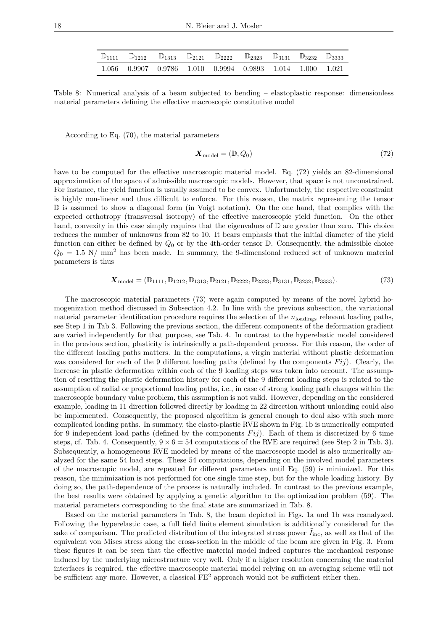|  | $\mathbb{D}_{1111}$ $\mathbb{D}_{1212}$ $\mathbb{D}_{1313}$ $\mathbb{D}_{2121}$ $\mathbb{D}_{2222}$ $\mathbb{D}_{2323}$ $\mathbb{D}_{3131}$ $\mathbb{D}_{3232}$ $\mathbb{D}_{3333}$ |  |  |  |
|--|-------------------------------------------------------------------------------------------------------------------------------------------------------------------------------------|--|--|--|
|  | $1.056$ 0.9907 0.9786 1.010 0.9994 0.9893 1.014 1.000 1.021                                                                                                                         |  |  |  |

Table 8: Numerical analysis of a beam subjected to bending – elastoplastic response: dimensionless material parameters defining the effective macroscopic constitutive model

According to Eq. (70), the material parameters

$$
\mathbf{X}_{\text{model}} = (\mathbb{D}, Q_0) \tag{72}
$$

have to be computed for the effective macroscopic material model. Eq. (72) yields an 82-dimensional approximation of the space of admissible macroscopic models. However, that space is not unconstrained. For instance, the yield function is usually assumed to be convex. Unfortunately, the respective constraint is highly non-linear and thus difficult to enforce. For this reason, the matrix representing the tensor D is assumed to show a diagonal form (in Voigt notation). On the one hand, that complies with the expected orthotropy (transversal isotropy) of the effective macroscopic yield function. On the other hand, convexity in this case simply requires that the eigenvalues of  $\mathbb D$  are greater than zero. This choice reduces the number of unknowns from 82 to 10. It bears emphasis that the initial diameter of the yield function can either be defined by *Q*<sup>0</sup> or by the 4th-order tensor D. Consequently, the admissible choice  $Q_0 = 1.5$  N/ mm<sup>2</sup> has been made. In summary, the 9-dimensional reduced set of unknown material parameters is thus

$$
\boldsymbol{X}_{\text{model}} = (\mathbb{D}_{1111}, \mathbb{D}_{1212}, \mathbb{D}_{1313}, \mathbb{D}_{2121}, \mathbb{D}_{2222}, \mathbb{D}_{2323}, \mathbb{D}_{3131}, \mathbb{D}_{3232}, \mathbb{D}_{3333}).
$$
\n(73)

The macroscopic material parameters (73) were again computed by means of the novel hybrid homogenization method discussed in Subsection 4.2. In line with the previous subsection, the variational material parameter identification procedure requires the selection of the  $n_{\text{loading}}$  relevant loading paths, see Step 1 in Tab 3. Following the previous section, the different components of the deformation gradient are varied independently for that purpose, see Tab. 4. In contrast to the hyperelastic model considered in the previous section, plasticity is intrinsically a path-dependent process. For this reason, the order of the different loading paths matters. In the computations, a virgin material without plastic deformation was considered for each of the 9 different loading paths (defined by the components  $Fij$ ). Clearly, the increase in plastic deformation within each of the 9 loading steps was taken into account. The assumption of resetting the plastic deformation history for each of the 9 different loading steps is related to the assumption of radial or proportional loading paths, i.e., in case of strong loading path changes within the macroscopic boundary value problem, this assumption is not valid. However, depending on the considered example, loading in 11 direction followed directly by loading in 22 direction without unloading could also be implemented. Consequently, the proposed algorithm is general enough to deal also with such more complicated loading paths. In summary, the elasto-plastic RVE shown in Fig. 1b is numerically computed for 9 independent load paths (defined by the components  $Fij$ ). Each of them is discretized by 6 time steps, cf. Tab. 4. Consequently,  $9 \times 6 = 54$  computations of the RVE are required (see Step 2 in Tab. 3). Subsequently, a homogeneous RVE modeled by means of the macroscopic model is also numerically analyzed for the same 54 load steps. These 54 computations, depending on the involved model parameters of the macroscopic model, are repeated for different parameters until Eq. (59) is minimized. For this reason, the minimization is not performed for one single time step, but for the whole loading history. By doing so, the path-dependence of the process is naturally included. In contrast to the previous example, the best results were obtained by applying a genetic algorithm to the optimization problem (59). The material parameters corresponding to the final state are summarized in Tab. 8.

Based on the material parameters in Tab. 8, the beam depicted in Figs. 1a and 1b was reanalyzed. Following the hyperelastic case, a full field finite element simulation is additionally considered for the sake of comparison. The predicted distribution of the integrated stress power  $I_{\text{inc}}$ , as well as that of the equivalent von Mises stress along the cross-section in the middle of the beam are given in Fig. 3. From these figures it can be seen that the effective material model indeed captures the mechanical response induced by the underlying microstructure very well. Only if a higher resolution concerning the material interfaces is required, the effective macroscopic material model relying on an averaging scheme will not be sufficient any more. However, a classical  $FE<sup>2</sup>$  approach would not be sufficient either then.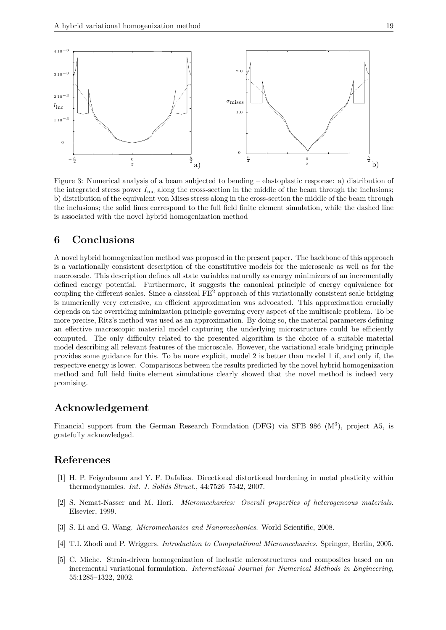

Figure 3: Numerical analysis of a beam subjected to bending – elastoplastic response: a) distribution of the integrated stress power  $I_{\text{inc}}$  along the cross-section in the middle of the beam through the inclusions; b) distribution of the equivalent von Mises stress along in the cross-section the middle of the beam through the inclusions; the solid lines correspond to the full field finite element simulation, while the dashed line is associated with the novel hybrid homogenization method

## **6 Conclusions**

A novel hybrid homogenization method was proposed in the present paper. The backbone of this approach is a variationally consistent description of the constitutive models for the microscale as well as for the macroscale. This description defines all state variables naturally as energy minimizers of an incrementally defined energy potential. Furthermore, it suggests the canonical principle of energy equivalence for coupling the different scales. Since a classical FE<sup>2</sup> approach of this variationally consistent scale bridging is numerically very extensive, an efficient approximation was advocated. This approximation crucially depends on the overriding minimization principle governing every aspect of the multiscale problem. To be more precise, Ritz's method was used as an approximation. By doing so, the material parameters defining an effective macroscopic material model capturing the underlying microstructure could be efficiently computed. The only difficulty related to the presented algorithm is the choice of a suitable material model describing all relevant features of the microscale. However, the variational scale bridging principle provides some guidance for this. To be more explicit, model 2 is better than model 1 if, and only if, the respective energy is lower. Comparisons between the results predicted by the novel hybrid homogenization method and full field finite element simulations clearly showed that the novel method is indeed very promising.

## **Acknowledgement**

Financial support from the German Research Foundation (DFG) via SFB 986 (M<sup>3</sup>), project A5, is gratefully acknowledged.

### **References**

- [1] H. P. Feigenbaum and Y. F. Dafalias. Directional distortional hardening in metal plasticity within thermodynamics. *Int. J. Solids Struct.*, 44:7526–7542, 2007.
- [2] S. Nemat-Nasser and M. Hori. *Micromechanics: Overall properties of heterogeneous materials*. Elsevier, 1999.
- [3] S. Li and G. Wang. *Micromechanics and Nanomechanics*. World Scientific, 2008.
- [4] T.I. Zhodi and P. Wriggers. *Introduction to Computational Micromechanics*. Springer, Berlin, 2005.
- [5] C. Miehe. Strain-driven homogenization of inelastic microstructures and composites based on an incremental variational formulation. *International Journal for Numerical Methods in Engineering*, 55:1285–1322, 2002.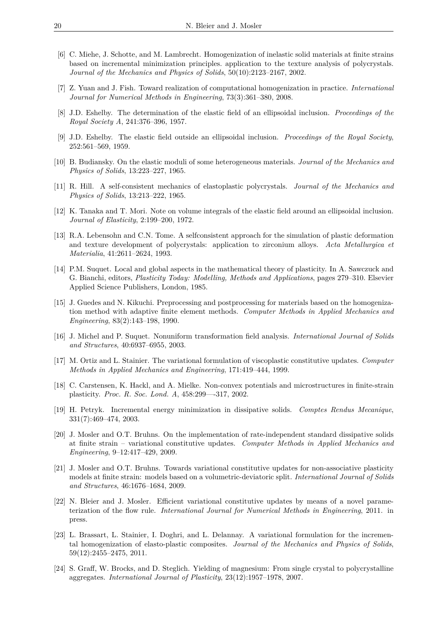- [6] C. Miehe, J. Schotte, and M. Lambrecht. Homogenization of inelastic solid materials at finite strains based on incremental minimization principles. application to the texture analysis of polycrystals. *Journal of the Mechanics and Physics of Solids*, 50(10):2123–2167, 2002.
- [7] Z. Yuan and J. Fish. Toward realization of computational homogenization in practice. *International Journal for Numerical Methods in Engineering*, 73(3):361–380, 2008.
- [8] J.D. Eshelby. The determination of the elastic field of an ellipsoidal inclusion. *Proceedings of the Royal Society A*, 241:376–396, 1957.
- [9] J.D. Eshelby. The elastic field outside an ellipsoidal inclusion. *Proceedings of the Royal Society*, 252:561–569, 1959.
- [10] B. Budiansky. On the elastic moduli of some heterogeneous materials. *Journal of the Mechanics and Physics of Solids*, 13:223–227, 1965.
- [11] R. Hill. A self-consistent mechanics of elastoplastic polycrystals. *Journal of the Mechanics and Physics of Solids*, 13:213–222, 1965.
- [12] K. Tanaka and T. Mori. Note on volume integrals of the elastic field around an ellipsoidal inclusion. *Journal of Elasticity*, 2:199–200, 1972.
- [13] R.A. Lebensohn and C.N. Tome. A selfconsistent approach for the simulation of plastic deformation and texture development of polycrystals: application to zirconium alloys. *Acta Metallurgica et Materialia*, 41:2611–2624, 1993.
- [14] P.M. Suquet. Local and global aspects in the mathematical theory of plasticity. In A. Sawczuck and G. Bianchi, editors, *Plasticity Today: Modelling, Methods and Applications*, pages 279–310. Elsevier Applied Science Publishers, London, 1985.
- [15] J. Guedes and N. Kikuchi. Preprocessing and postprocessing for materials based on the homogenization method with adaptive finite element methods. *Computer Methods in Applied Mechanics and Engineering*, 83(2):143–198, 1990.
- [16] J. Michel and P. Suquet. Nonuniform transformation field analysis. *International Journal of Solids and Structures*, 40:6937–6955, 2003.
- [17] M. Ortiz and L. Stainier. The variational formulation of viscoplastic constitutive updates. *Computer Methods in Applied Mechanics and Engineering*, 171:419–444, 1999.
- [18] C. Carstensen, K. Hackl, and A. Mielke. Non-convex potentials and microstructures in finite-strain plasticity. *Proc. R. Soc. Lond. A*, 458:299—-317, 2002.
- [19] H. Petryk. Incremental energy minimization in dissipative solids. *Comptes Rendus Mecanique*, 331(7):469–474, 2003.
- [20] J. Mosler and O.T. Bruhns. On the implementation of rate-independent standard dissipative solids at finite strain – variational constitutive updates. *Computer Methods in Applied Mechanics and Engineering*, 9–12:417–429, 2009.
- [21] J. Mosler and O.T. Bruhns. Towards variational constitutive updates for non-associative plasticity models at finite strain: models based on a volumetric-deviatoric split. *International Journal of Solids and Structures*, 46:1676–1684, 2009.
- [22] N. Bleier and J. Mosler. Efficient variational constitutive updates by means of a novel parameterization of the flow rule. *International Journal for Numerical Methods in Engineering*, 2011. in press.
- [23] L. Brassart, L. Stainier, I. Doghri, and L. Delannay. A variational formulation for the incremental homogenization of elasto-plastic composites. *Journal of the Mechanics and Physics of Solids*, 59(12):2455–2475, 2011.
- [24] S. Graff, W. Brocks, and D. Steglich. Yielding of magnesium: From single crystal to polycrystalline aggregates. *International Journal of Plasticity*, 23(12):1957–1978, 2007.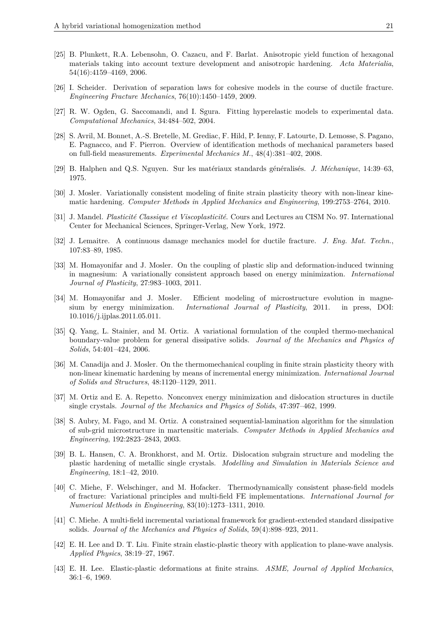- [25] B. Plunkett, R.A. Lebensohn, O. Cazacu, and F. Barlat. Anisotropic yield function of hexagonal materials taking into account texture development and anisotropic hardening. *Acta Materialia*, 54(16):4159–4169, 2006.
- [26] I. Scheider. Derivation of separation laws for cohesive models in the course of ductile fracture. *Engineering Fracture Mechanics*, 76(10):1450–1459, 2009.
- [27] R. W. Ogden, G. Saccomandi, and I. Sgura. Fitting hyperelastic models to experimental data. *Computational Mechanics*, 34:484–502, 2004.
- [28] S. Avril, M. Bonnet, A.-S. Bretelle, M. Grediac, F. Hild, P. Ienny, F. Latourte, D. Lemosse, S. Pagano, E. Pagnacco, and F. Pierron. Overview of identification methods of mechanical parameters based on full-field measurements. *Experimental Mechanics M.*, 48(4):381–402, 2008.
- [29] B. Halphen and Q.S. Nguyen. Sur les matériaux standards généralisés. *J. Méchanique*, 14:39–63, 1975.
- [30] J. Mosler. Variationally consistent modeling of finite strain plasticity theory with non-linear kinematic hardening. *Computer Methods in Applied Mechanics and Engineering*, 199:2753–2764, 2010.
- [31] J. Mandel. *Plasticité Classique et Viscoplasticité*. Cours and Lectures au CISM No. 97. International Center for Mechanical Sciences, Springer-Verlag, New York, 1972.
- [32] J. Lemaitre. A continuous damage mechanics model for ductile fracture. *J. Eng. Mat. Techn.*, 107:83–89, 1985.
- [33] M. Homayonifar and J. Mosler. On the coupling of plastic slip and deformation-induced twinning in magnesium: A variationally consistent approach based on energy minimization. *International Journal of Plasticity*, 27:983–1003, 2011.
- [34] M. Homayonifar and J. Mosler. Efficient modeling of microstructure evolution in magnesium by energy minimization. *International Journal of Plasticity*, 2011. in press, DOI: 10.1016/j.ijplas.2011.05.011.
- [35] Q. Yang, L. Stainier, and M. Ortiz. A variational formulation of the coupled thermo-mechanical boundary-value problem for general dissipative solids. *Journal of the Mechanics and Physics of Solids*, 54:401–424, 2006.
- [36] M. Canadija and J. Mosler. On the thermomechanical coupling in finite strain plasticity theory with non-linear kinematic hardening by means of incremental energy minimization. *International Journal of Solids and Structures*, 48:1120–1129, 2011.
- [37] M. Ortiz and E. A. Repetto. Nonconvex energy minimization and dislocation structures in ductile single crystals. *Journal of the Mechanics and Physics of Solids*, 47:397–462, 1999.
- [38] S. Aubry, M. Fago, and M. Ortiz. A constrained sequential-lamination algorithm for the simulation of sub-grid microstructure in martensitic materials. *Computer Methods in Applied Mechanics and Engineering*, 192:2823–2843, 2003.
- [39] B. L. Hansen, C. A. Bronkhorst, and M. Ortiz. Dislocation subgrain structure and modeling the plastic hardening of metallic single crystals. *Modelling and Simulation in Materials Science and Engineering*, 18:1–42, 2010.
- [40] C. Miehe, F. Welschinger, and M. Hofacker. Thermodynamically consistent phase-field models of fracture: Variational principles and multi-field FE implementations. *International Journal for Numerical Methods in Engineering*, 83(10):1273–1311, 2010.
- [41] C. Miehe. A multi-field incremental variational framework for gradient-extended standard dissipative solids. *Journal of the Mechanics and Physics of Solids*, 59(4):898–923, 2011.
- [42] E. H. Lee and D. T. Liu. Finite strain elastic-plastic theory with application to plane-wave analysis. *Applied Physics*, 38:19–27, 1967.
- [43] E. H. Lee. Elastic-plastic deformations at finite strains. *ASME, Journal of Applied Mechanics*, 36:1–6, 1969.